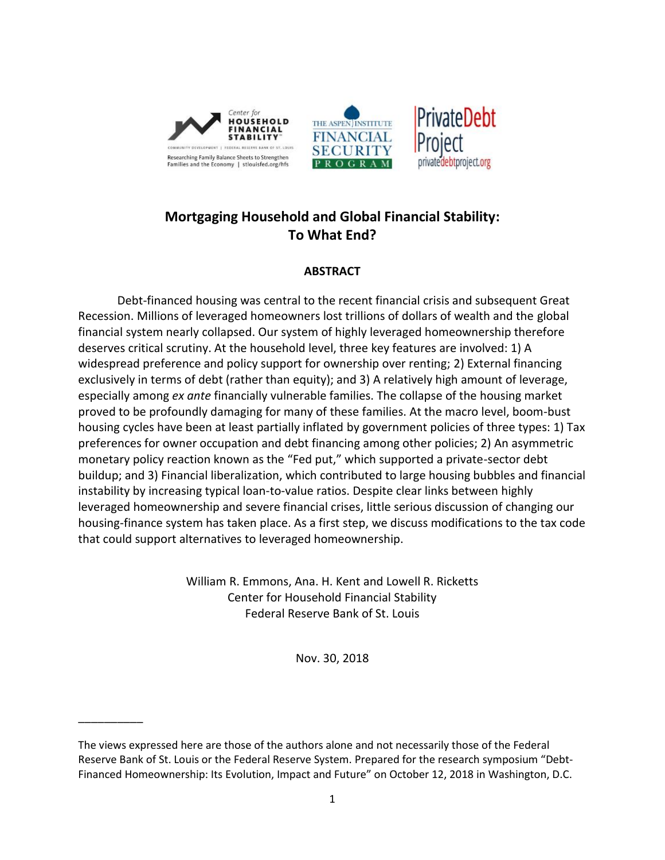

# **Mortgaging Household and Global Financial Stability: To What End?**

## **ABSTRACT**

Debt-financed housing was central to the recent financial crisis and subsequent Great Recession. Millions of leveraged homeowners lost trillions of dollars of wealth and the global financial system nearly collapsed. Our system of highly leveraged homeownership therefore deserves critical scrutiny. At the household level, three key features are involved: 1) A widespread preference and policy support for ownership over renting; 2) External financing exclusively in terms of debt (rather than equity); and 3) A relatively high amount of leverage, especially among *ex ante* financially vulnerable families. The collapse of the housing market proved to be profoundly damaging for many of these families. At the macro level, boom-bust housing cycles have been at least partially inflated by government policies of three types: 1) Tax preferences for owner occupation and debt financing among other policies; 2) An asymmetric monetary policy reaction known as the "Fed put," which supported a private-sector debt buildup; and 3) Financial liberalization, which contributed to large housing bubbles and financial instability by increasing typical loan-to-value ratios. Despite clear links between highly leveraged homeownership and severe financial crises, little serious discussion of changing our housing-finance system has taken place. As a first step, we discuss modifications to the tax code that could support alternatives to leveraged homeownership.

> William R. Emmons, Ana. H. Kent and Lowell R. Ricketts Center for Household Financial Stability Federal Reserve Bank of St. Louis

> > Nov. 30, 2018

\_\_\_\_\_\_\_\_\_\_

The views expressed here are those of the authors alone and not necessarily those of the Federal Reserve Bank of St. Louis or the Federal Reserve System. Prepared for the research symposium "Debt-Financed Homeownership: Its Evolution, Impact and Future" on October 12, 2018 in Washington, D.C.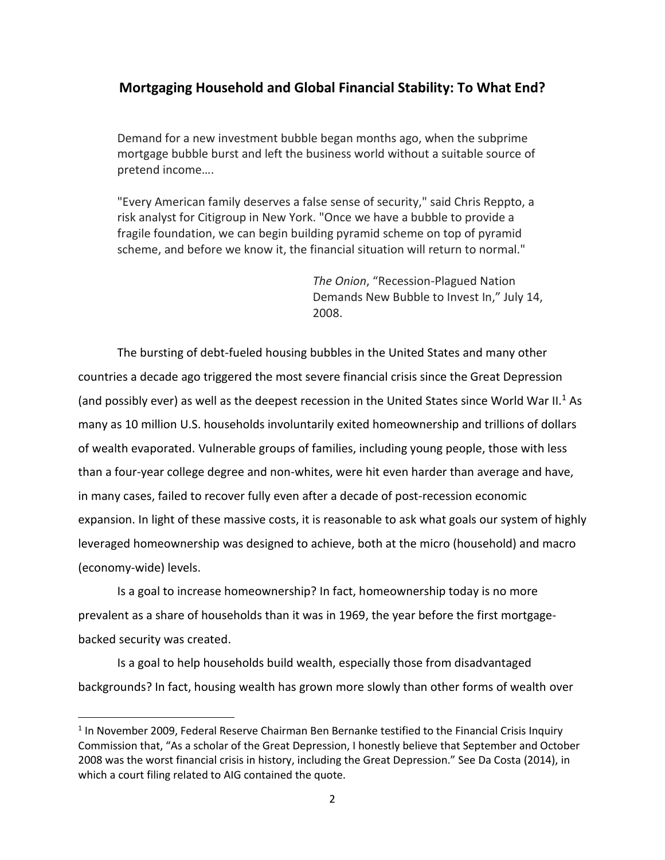## **Mortgaging Household and Global Financial Stability: To What End?**

Demand for a new investment bubble began months ago, when the subprime mortgage bubble burst and left the business world without a suitable source of pretend income….

"Every American family deserves a false sense of security," said Chris Reppto, a risk analyst for Citigroup in New York. "Once we have a bubble to provide a fragile foundation, we can begin building pyramid scheme on top of pyramid scheme, and before we know it, the financial situation will return to normal."

> *The Onion*, "Recession-Plagued Nation Demands New Bubble to Invest In," July 14, 2008.

The bursting of debt-fueled housing bubbles in the United States and many other countries a decade ago triggered the most severe financial crisis since the Great Depression (and possibly ever) as well as the deepest recession in the United States since World War II.<sup>1</sup> As many as 10 million U.S. households involuntarily exited homeownership and trillions of dollars of wealth evaporated. Vulnerable groups of families, including young people, those with less than a four-year college degree and non-whites, were hit even harder than average and have, in many cases, failed to recover fully even after a decade of post-recession economic expansion. In light of these massive costs, it is reasonable to ask what goals our system of highly leveraged homeownership was designed to achieve, both at the micro (household) and macro (economy-wide) levels.

Is a goal to increase homeownership? In fact, homeownership today is no more prevalent as a share of households than it was in 1969, the year before the first mortgagebacked security was created.

Is a goal to help households build wealth, especially those from disadvantaged backgrounds? In fact, housing wealth has grown more slowly than other forms of wealth over

l

 $<sup>1</sup>$  In November 2009, Federal Reserve Chairman Ben Bernanke testified to the Financial Crisis Inquiry</sup> Commission that, "As a scholar of the Great Depression, I honestly believe that September and October 2008 was the worst financial crisis in history, including the Great Depression." See Da Costa (2014), in which a court filing related to AIG contained the quote.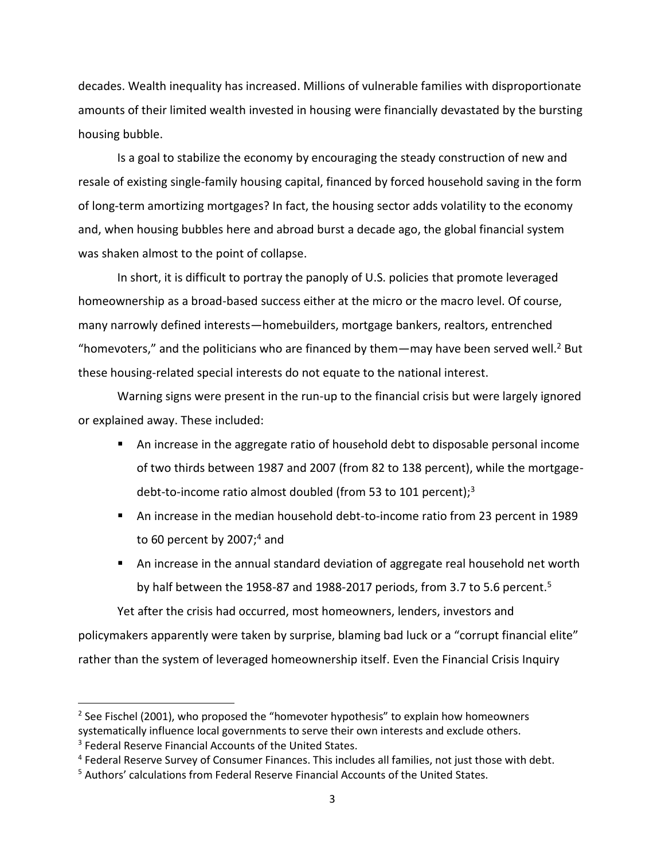decades. Wealth inequality has increased. Millions of vulnerable families with disproportionate amounts of their limited wealth invested in housing were financially devastated by the bursting housing bubble.

Is a goal to stabilize the economy by encouraging the steady construction of new and resale of existing single-family housing capital, financed by forced household saving in the form of long-term amortizing mortgages? In fact, the housing sector adds volatility to the economy and, when housing bubbles here and abroad burst a decade ago, the global financial system was shaken almost to the point of collapse.

In short, it is difficult to portray the panoply of U.S. policies that promote leveraged homeownership as a broad-based success either at the micro or the macro level. Of course, many narrowly defined interests—homebuilders, mortgage bankers, realtors, entrenched "homevoters," and the politicians who are financed by them—may have been served well.<sup>2</sup> But these housing-related special interests do not equate to the national interest.

Warning signs were present in the run-up to the financial crisis but were largely ignored or explained away. These included:

- An increase in the aggregate ratio of household debt to disposable personal income of two thirds between 1987 and 2007 (from 82 to 138 percent), while the mortgagedebt-to-income ratio almost doubled (from 53 to 101 percent); $3$
- An increase in the median household debt-to-income ratio from 23 percent in 1989 to 60 percent by  $2007<sup>4</sup>$  and
- An increase in the annual standard deviation of aggregate real household net worth by half between the 1958-87 and 1988-2017 periods, from 3.7 to 5.6 percent.<sup>5</sup>

Yet after the crisis had occurred, most homeowners, lenders, investors and policymakers apparently were taken by surprise, blaming bad luck or a "corrupt financial elite" rather than the system of leveraged homeownership itself. Even the Financial Crisis Inquiry

 $2$  See Fischel (2001), who proposed the "homevoter hypothesis" to explain how homeowners systematically influence local governments to serve their own interests and exclude others.

<sup>&</sup>lt;sup>3</sup> Federal Reserve Financial Accounts of the United States.

<sup>&</sup>lt;sup>4</sup> Federal Reserve Survey of Consumer Finances. This includes all families, not just those with debt.

<sup>5</sup> Authors' calculations from Federal Reserve Financial Accounts of the United States.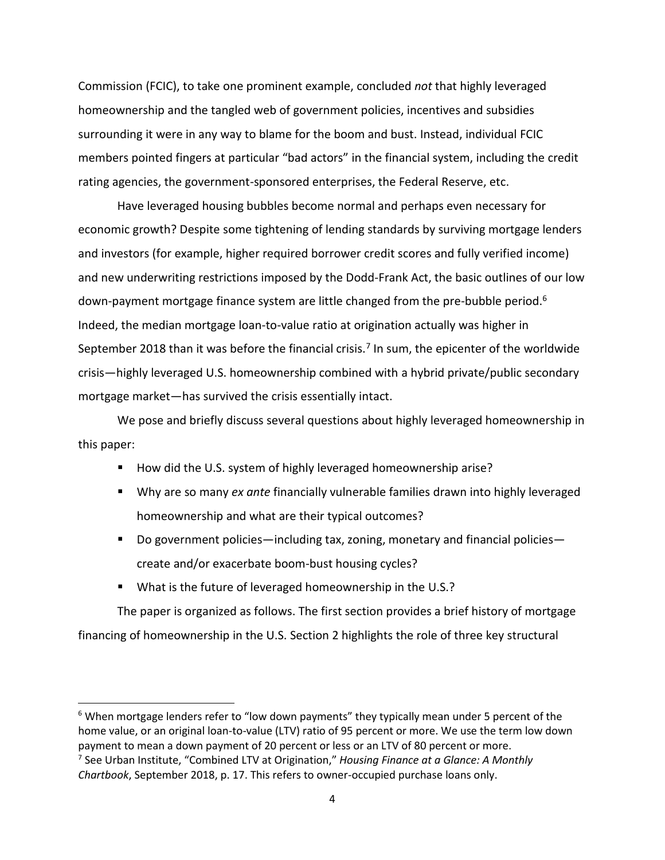Commission (FCIC), to take one prominent example, concluded *not* that highly leveraged homeownership and the tangled web of government policies, incentives and subsidies surrounding it were in any way to blame for the boom and bust. Instead, individual FCIC members pointed fingers at particular "bad actors" in the financial system, including the credit rating agencies, the government-sponsored enterprises, the Federal Reserve, etc.

Have leveraged housing bubbles become normal and perhaps even necessary for economic growth? Despite some tightening of lending standards by surviving mortgage lenders and investors (for example, higher required borrower credit scores and fully verified income) and new underwriting restrictions imposed by the Dodd-Frank Act, the basic outlines of our low down-payment mortgage finance system are little changed from the pre-bubble period.<sup>6</sup> Indeed, the median mortgage loan-to-value ratio at origination actually was higher in September 2018 than it was before the financial crisis.<sup>7</sup> In sum, the epicenter of the worldwide crisis—highly leveraged U.S. homeownership combined with a hybrid private/public secondary mortgage market—has survived the crisis essentially intact.

We pose and briefly discuss several questions about highly leveraged homeownership in this paper:

- How did the U.S. system of highly leveraged homeownership arise?
- Why are so many *ex ante* financially vulnerable families drawn into highly leveraged homeownership and what are their typical outcomes?
- Do government policies—including tax, zoning, monetary and financial policies create and/or exacerbate boom-bust housing cycles?
- What is the future of leveraged homeownership in the U.S.?

The paper is organized as follows. The first section provides a brief history of mortgage financing of homeownership in the U.S. Section 2 highlights the role of three key structural

 $6$  When mortgage lenders refer to "low down payments" they typically mean under 5 percent of the home value, or an original loan-to-value (LTV) ratio of 95 percent or more. We use the term low down payment to mean a down payment of 20 percent or less or an LTV of 80 percent or more. 7 See Urban Institute, "Combined LTV at Origination," *Housing Finance at a Glance: A Monthly* 

*Chartbook*, September 2018, p. 17. This refers to owner-occupied purchase loans only.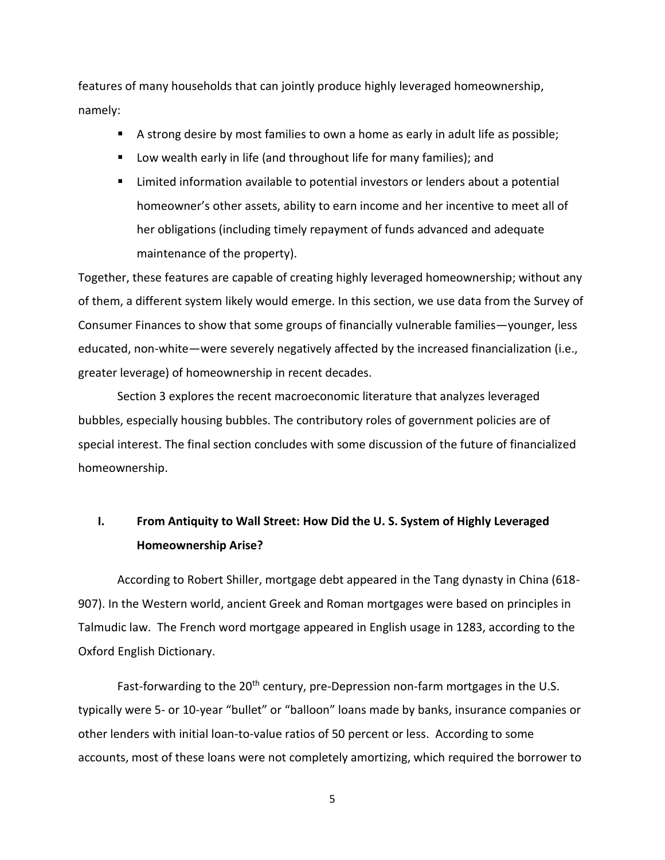features of many households that can jointly produce highly leveraged homeownership, namely:

- A strong desire by most families to own a home as early in adult life as possible;
- **U** Low wealth early in life (and throughout life for many families); and
- Limited information available to potential investors or lenders about a potential homeowner's other assets, ability to earn income and her incentive to meet all of her obligations (including timely repayment of funds advanced and adequate maintenance of the property).

Together, these features are capable of creating highly leveraged homeownership; without any of them, a different system likely would emerge. In this section, we use data from the Survey of Consumer Finances to show that some groups of financially vulnerable families—younger, less educated, non-white—were severely negatively affected by the increased financialization (i.e., greater leverage) of homeownership in recent decades.

Section 3 explores the recent macroeconomic literature that analyzes leveraged bubbles, especially housing bubbles. The contributory roles of government policies are of special interest. The final section concludes with some discussion of the future of financialized homeownership.

# **I. From Antiquity to Wall Street: How Did the U. S. System of Highly Leveraged Homeownership Arise?**

According to Robert Shiller, mortgage debt appeared in the Tang dynasty in China (618- 907). In the Western world, ancient Greek and Roman mortgages were based on principles in Talmudic law. The French word mortgage appeared in English usage in 1283, according to the Oxford English Dictionary.

Fast-forwarding to the 20<sup>th</sup> century, pre-Depression non-farm mortgages in the U.S. typically were 5- or 10-year "bullet" or "balloon" loans made by banks, insurance companies or other lenders with initial loan-to-value ratios of 50 percent or less. According to some accounts, most of these loans were not completely amortizing, which required the borrower to

5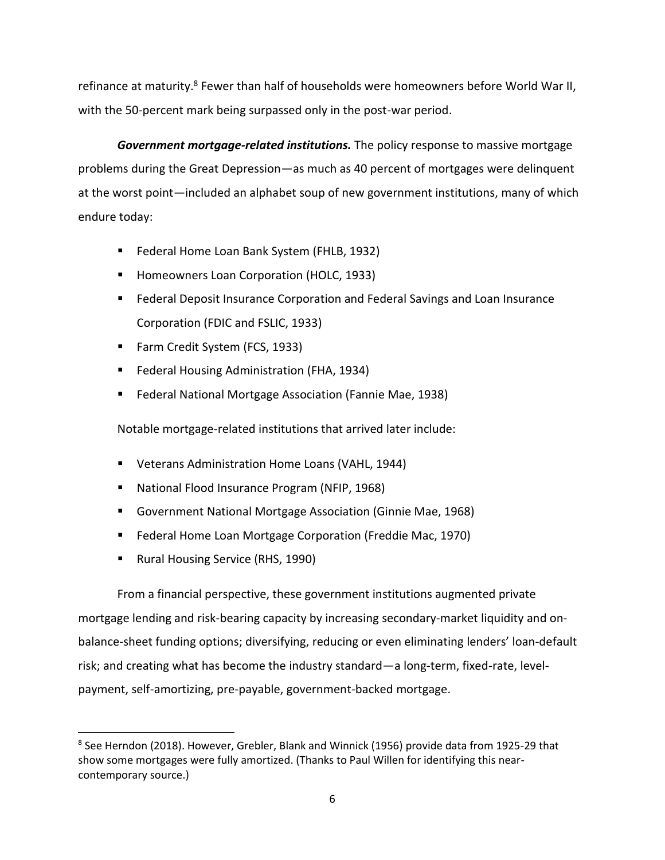refinance at maturity.<sup>8</sup> Fewer than half of households were homeowners before World War II, with the 50-percent mark being surpassed only in the post-war period.

*Government mortgage-related institutions.* The policy response to massive mortgage problems during the Great Depression—as much as 40 percent of mortgages were delinquent at the worst point—included an alphabet soup of new government institutions, many of which endure today:

- **Federal Home Loan Bank System (FHLB, 1932)**
- **Homeowners Loan Corporation (HOLC, 1933)**
- **Federal Deposit Insurance Corporation and Federal Savings and Loan Insurance** Corporation (FDIC and FSLIC, 1933)
- Farm Credit System (FCS, 1933)
- **Federal Housing Administration (FHA, 1934)**
- Federal National Mortgage Association (Fannie Mae, 1938)

Notable mortgage-related institutions that arrived later include:

- Veterans Administration Home Loans (VAHL, 1944)
- National Flood Insurance Program (NFIP, 1968)
- Government National Mortgage Association (Ginnie Mae, 1968)
- Federal Home Loan Mortgage Corporation (Freddie Mac, 1970)
- **Rural Housing Service (RHS, 1990)**

 $\overline{a}$ 

From a financial perspective, these government institutions augmented private mortgage lending and risk-bearing capacity by increasing secondary-market liquidity and onbalance-sheet funding options; diversifying, reducing or even eliminating lenders' loan-default risk; and creating what has become the industry standard—a long-term, fixed-rate, levelpayment, self-amortizing, pre-payable, government-backed mortgage.

<sup>&</sup>lt;sup>8</sup> See Herndon (2018). However, Grebler, Blank and Winnick (1956) provide data from 1925-29 that show some mortgages were fully amortized. (Thanks to Paul Willen for identifying this nearcontemporary source.)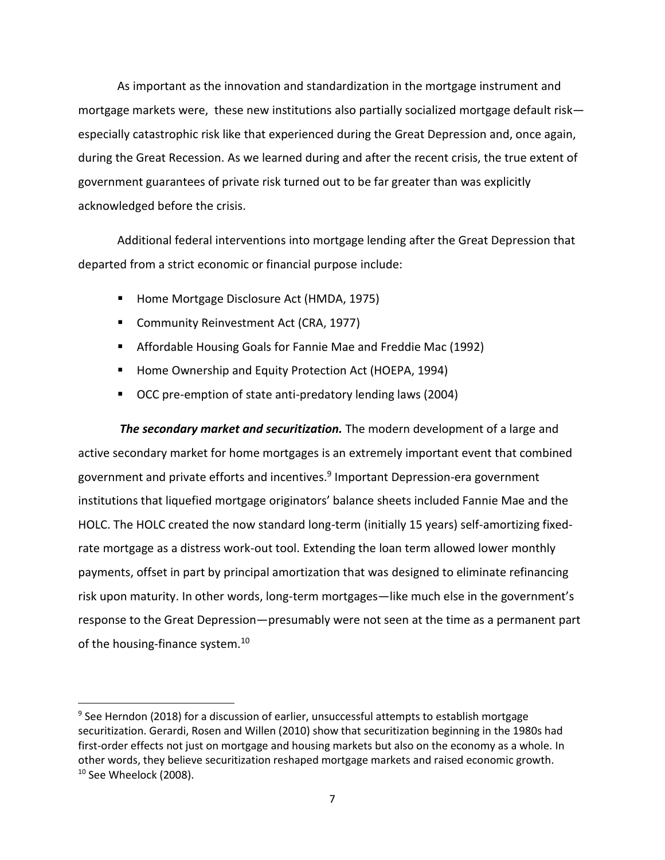As important as the innovation and standardization in the mortgage instrument and mortgage markets were, these new institutions also partially socialized mortgage default risk especially catastrophic risk like that experienced during the Great Depression and, once again, during the Great Recession. As we learned during and after the recent crisis, the true extent of government guarantees of private risk turned out to be far greater than was explicitly acknowledged before the crisis.

Additional federal interventions into mortgage lending after the Great Depression that departed from a strict economic or financial purpose include:

- Home Mortgage Disclosure Act (HMDA, 1975)
- **Community Reinvestment Act (CRA, 1977)**

 $\overline{\phantom{a}}$ 

- Affordable Housing Goals for Fannie Mae and Freddie Mac (1992)
- **Home Ownership and Equity Protection Act (HOEPA, 1994)**
- OCC pre-emption of state anti-predatory lending laws (2004)

*The secondary market and securitization.* The modern development of a large and active secondary market for home mortgages is an extremely important event that combined government and private efforts and incentives.<sup>9</sup> Important Depression-era government institutions that liquefied mortgage originators' balance sheets included Fannie Mae and the HOLC. The HOLC created the now standard long-term (initially 15 years) self-amortizing fixedrate mortgage as a distress work-out tool. Extending the loan term allowed lower monthly payments, offset in part by principal amortization that was designed to eliminate refinancing risk upon maturity. In other words, long-term mortgages—like much else in the government's response to the Great Depression—presumably were not seen at the time as a permanent part of the housing-finance system.<sup>10</sup>

<sup>&</sup>lt;sup>9</sup> See Herndon (2018) for a discussion of earlier, unsuccessful attempts to establish mortgage securitization. Gerardi, Rosen and Willen (2010) show that securitization beginning in the 1980s had first-order effects not just on mortgage and housing markets but also on the economy as a whole. In other words, they believe securitization reshaped mortgage markets and raised economic growth. <sup>10</sup> See Wheelock (2008).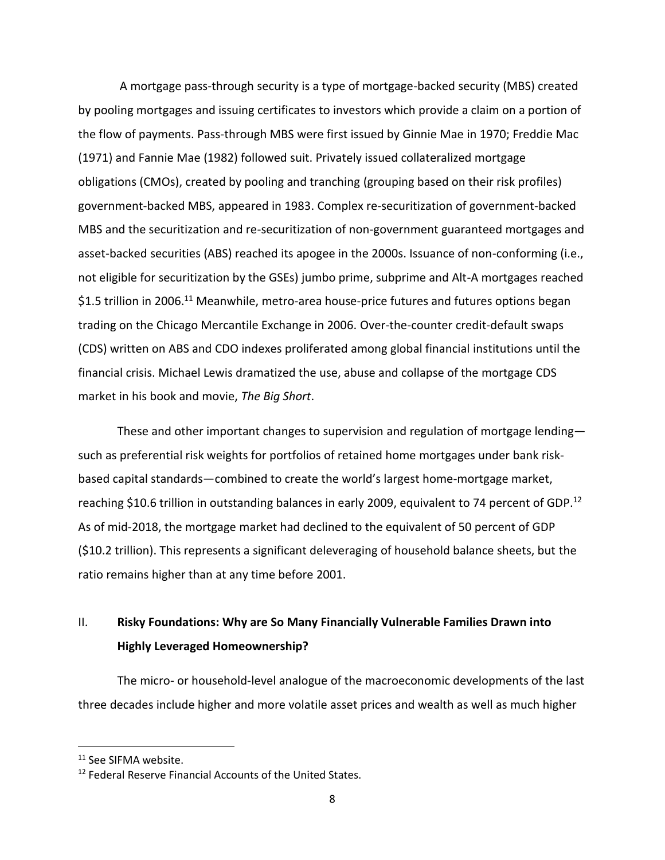A mortgage pass-through security is a type of mortgage-backed security (MBS) created by pooling mortgages and issuing certificates to investors which provide a claim on a portion of the flow of payments. Pass-through MBS were first issued by Ginnie Mae in 1970; Freddie Mac (1971) and Fannie Mae (1982) followed suit. Privately issued collateralized mortgage obligations (CMOs), created by pooling and tranching (grouping based on their risk profiles) government-backed MBS, appeared in 1983. Complex re-securitization of government-backed MBS and the securitization and re-securitization of non-government guaranteed mortgages and asset-backed securities (ABS) reached its apogee in the 2000s. Issuance of non-conforming (i.e., not eligible for securitization by the GSEs) jumbo prime, subprime and Alt-A mortgages reached \$1.5 trillion in 2006.<sup>11</sup> Meanwhile, metro-area house-price futures and futures options began trading on the Chicago Mercantile Exchange in 2006. Over-the-counter credit-default swaps (CDS) written on ABS and CDO indexes proliferated among global financial institutions until the financial crisis. Michael Lewis dramatized the use, abuse and collapse of the mortgage CDS market in his book and movie, *The Big Short*.

These and other important changes to supervision and regulation of mortgage lending such as preferential risk weights for portfolios of retained home mortgages under bank riskbased capital standards—combined to create the world's largest home-mortgage market, reaching \$10.6 trillion in outstanding balances in early 2009, equivalent to 74 percent of GDP.<sup>12</sup> As of mid-2018, the mortgage market had declined to the equivalent of 50 percent of GDP (\$10.2 trillion). This represents a significant deleveraging of household balance sheets, but the ratio remains higher than at any time before 2001.

# II. **Risky Foundations: Why are So Many Financially Vulnerable Families Drawn into Highly Leveraged Homeownership?**

The micro- or household-level analogue of the macroeconomic developments of the last three decades include higher and more volatile asset prices and wealth as well as much higher

<sup>&</sup>lt;sup>11</sup> See SIFMA website.

<sup>&</sup>lt;sup>12</sup> Federal Reserve Financial Accounts of the United States.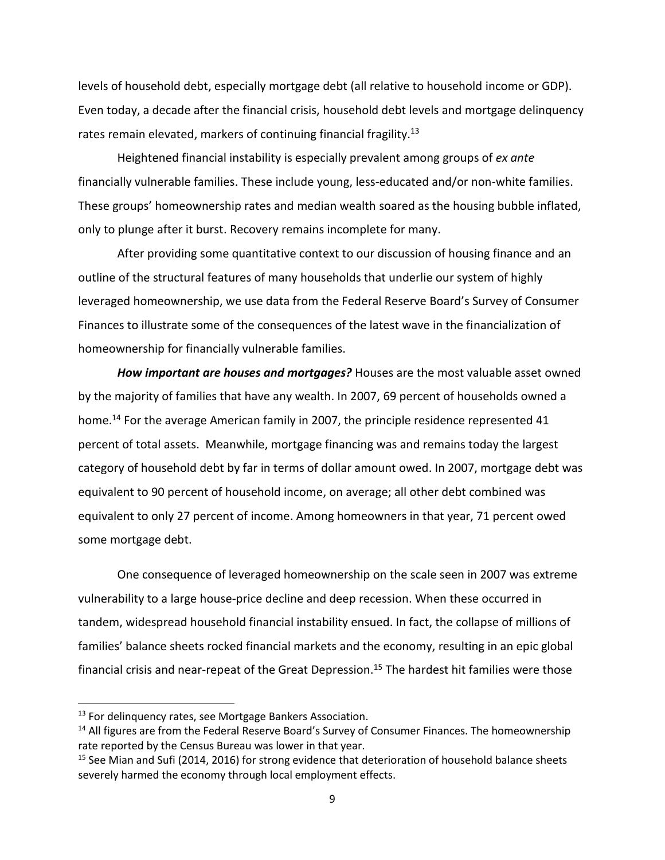levels of household debt, especially mortgage debt (all relative to household income or GDP). Even today, a decade after the financial crisis, household debt levels and mortgage delinquency rates remain elevated, markers of continuing financial fragility.<sup>13</sup>

Heightened financial instability is especially prevalent among groups of *ex ante* financially vulnerable families. These include young, less-educated and/or non-white families. These groups' homeownership rates and median wealth soared as the housing bubble inflated, only to plunge after it burst. Recovery remains incomplete for many.

After providing some quantitative context to our discussion of housing finance and an outline of the structural features of many households that underlie our system of highly leveraged homeownership, we use data from the Federal Reserve Board's Survey of Consumer Finances to illustrate some of the consequences of the latest wave in the financialization of homeownership for financially vulnerable families.

*How important are houses and mortgages?* Houses are the most valuable asset owned by the majority of families that have any wealth. In 2007, 69 percent of households owned a home.<sup>14</sup> For the average American family in 2007, the principle residence represented 41 percent of total assets. Meanwhile, mortgage financing was and remains today the largest category of household debt by far in terms of dollar amount owed. In 2007, mortgage debt was equivalent to 90 percent of household income, on average; all other debt combined was equivalent to only 27 percent of income. Among homeowners in that year, 71 percent owed some mortgage debt.

One consequence of leveraged homeownership on the scale seen in 2007 was extreme vulnerability to a large house-price decline and deep recession. When these occurred in tandem, widespread household financial instability ensued. In fact, the collapse of millions of families' balance sheets rocked financial markets and the economy, resulting in an epic global financial crisis and near-repeat of the Great Depression.<sup>15</sup> The hardest hit families were those

<sup>&</sup>lt;sup>13</sup> For delinguency rates, see Mortgage Bankers Association.

 $14$  All figures are from the Federal Reserve Board's Survey of Consumer Finances. The homeownership rate reported by the Census Bureau was lower in that year.

<sup>&</sup>lt;sup>15</sup> See Mian and Sufi (2014, 2016) for strong evidence that deterioration of household balance sheets severely harmed the economy through local employment effects.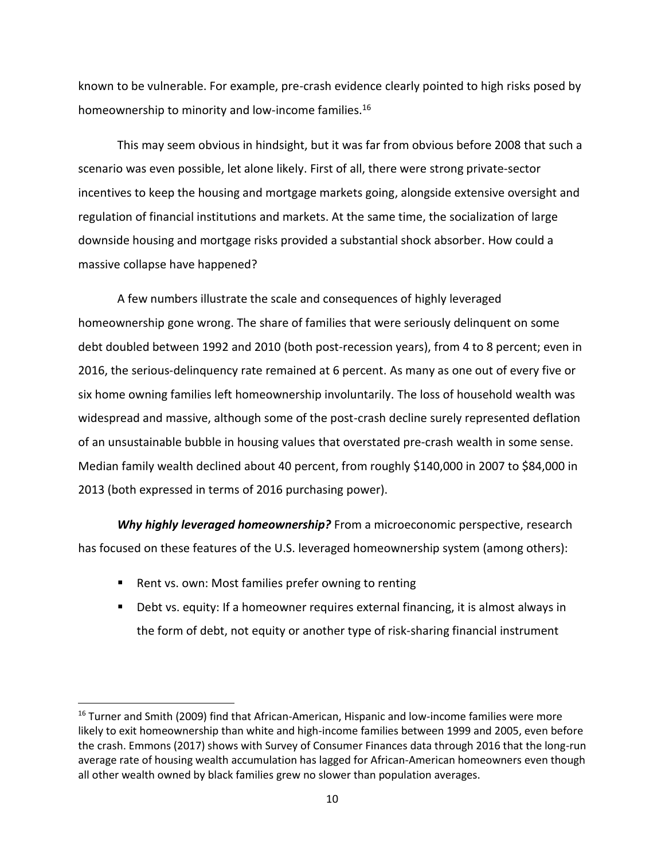known to be vulnerable. For example, pre-crash evidence clearly pointed to high risks posed by homeownership to minority and low-income families.<sup>16</sup>

This may seem obvious in hindsight, but it was far from obvious before 2008 that such a scenario was even possible, let alone likely. First of all, there were strong private-sector incentives to keep the housing and mortgage markets going, alongside extensive oversight and regulation of financial institutions and markets. At the same time, the socialization of large downside housing and mortgage risks provided a substantial shock absorber. How could a massive collapse have happened?

A few numbers illustrate the scale and consequences of highly leveraged homeownership gone wrong. The share of families that were seriously delinquent on some debt doubled between 1992 and 2010 (both post-recession years), from 4 to 8 percent; even in 2016, the serious-delinquency rate remained at 6 percent. As many as one out of every five or six home owning families left homeownership involuntarily. The loss of household wealth was widespread and massive, although some of the post-crash decline surely represented deflation of an unsustainable bubble in housing values that overstated pre-crash wealth in some sense. Median family wealth declined about 40 percent, from roughly \$140,000 in 2007 to \$84,000 in 2013 (both expressed in terms of 2016 purchasing power).

*Why highly leveraged homeownership?* From a microeconomic perspective, research has focused on these features of the U.S. leveraged homeownership system (among others):

■ Rent vs. own: Most families prefer owning to renting

 $\overline{\phantom{a}}$ 

 Debt vs. equity: If a homeowner requires external financing, it is almost always in the form of debt, not equity or another type of risk-sharing financial instrument

<sup>&</sup>lt;sup>16</sup> Turner and Smith (2009) find that African-American, Hispanic and low-income families were more likely to exit homeownership than white and high-income families between 1999 and 2005, even before the crash. Emmons (2017) shows with Survey of Consumer Finances data through 2016 that the long-run average rate of housing wealth accumulation has lagged for African-American homeowners even though all other wealth owned by black families grew no slower than population averages.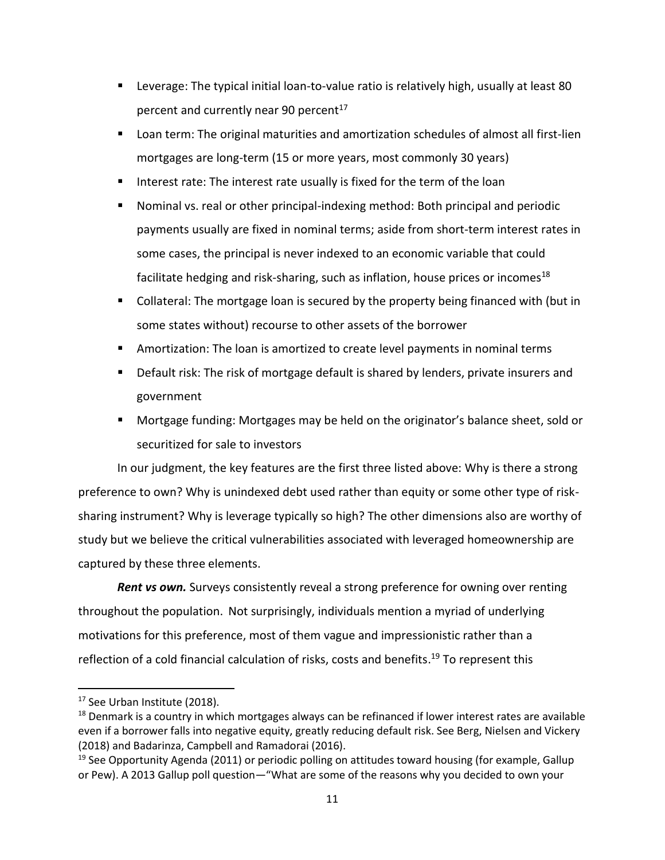- Leverage: The typical initial loan-to-value ratio is relatively high, usually at least 80 percent and currently near 90 percent $17$
- Loan term: The original maturities and amortization schedules of almost all first-lien mortgages are long-term (15 or more years, most commonly 30 years)
- Interest rate: The interest rate usually is fixed for the term of the loan
- Nominal vs. real or other principal-indexing method: Both principal and periodic payments usually are fixed in nominal terms; aside from short-term interest rates in some cases, the principal is never indexed to an economic variable that could facilitate hedging and risk-sharing, such as inflation, house prices or incomes<sup>18</sup>
- Collateral: The mortgage loan is secured by the property being financed with (but in some states without) recourse to other assets of the borrower
- Amortization: The loan is amortized to create level payments in nominal terms
- Default risk: The risk of mortgage default is shared by lenders, private insurers and government
- Mortgage funding: Mortgages may be held on the originator's balance sheet, sold or securitized for sale to investors

In our judgment, the key features are the first three listed above: Why is there a strong preference to own? Why is unindexed debt used rather than equity or some other type of risksharing instrument? Why is leverage typically so high? The other dimensions also are worthy of study but we believe the critical vulnerabilities associated with leveraged homeownership are captured by these three elements.

*Rent vs own.* Surveys consistently reveal a strong preference for owning over renting throughout the population. Not surprisingly, individuals mention a myriad of underlying motivations for this preference, most of them vague and impressionistic rather than a reflection of a cold financial calculation of risks, costs and benefits.<sup>19</sup> To represent this

<sup>&</sup>lt;sup>17</sup> See Urban Institute (2018).

<sup>&</sup>lt;sup>18</sup> Denmark is a country in which mortgages always can be refinanced if lower interest rates are available even if a borrower falls into negative equity, greatly reducing default risk. See Berg, Nielsen and Vickery (2018) and Badarinza, Campbell and Ramadorai (2016).

 $19$  See Opportunity Agenda (2011) or periodic polling on attitudes toward housing (for example, Gallup or Pew). A 2013 Gallup poll question—"What are some of the reasons why you decided to own your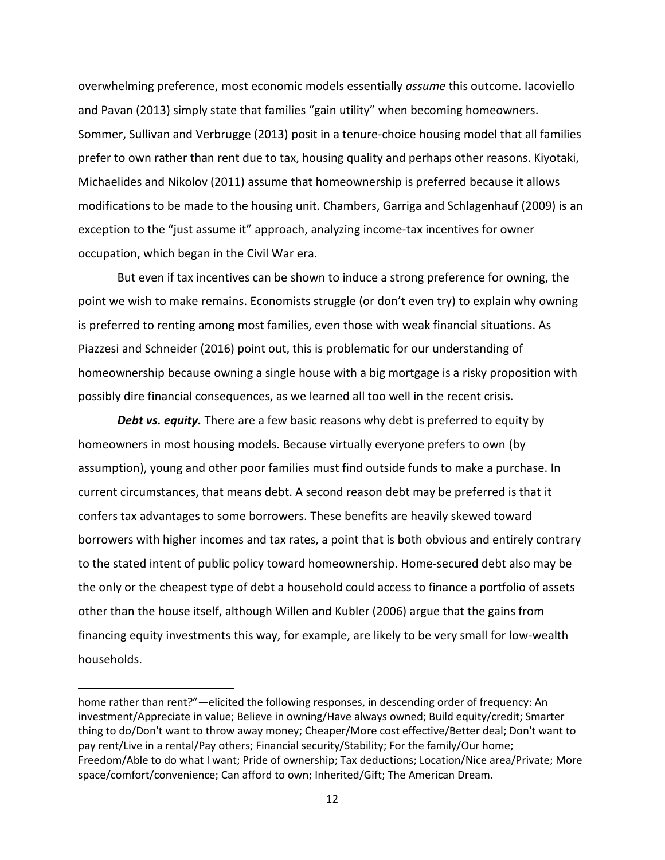overwhelming preference, most economic models essentially *assume* this outcome. Iacoviello and Pavan (2013) simply state that families "gain utility" when becoming homeowners. Sommer, Sullivan and Verbrugge (2013) posit in a tenure-choice housing model that all families prefer to own rather than rent due to tax, housing quality and perhaps other reasons. Kiyotaki, Michaelides and Nikolov (2011) assume that homeownership is preferred because it allows modifications to be made to the housing unit. Chambers, Garriga and Schlagenhauf (2009) is an exception to the "just assume it" approach, analyzing income-tax incentives for owner occupation, which began in the Civil War era.

But even if tax incentives can be shown to induce a strong preference for owning, the point we wish to make remains. Economists struggle (or don't even try) to explain why owning is preferred to renting among most families, even those with weak financial situations. As Piazzesi and Schneider (2016) point out, this is problematic for our understanding of homeownership because owning a single house with a big mortgage is a risky proposition with possibly dire financial consequences, as we learned all too well in the recent crisis.

*Debt vs. equity.* There are a few basic reasons why debt is preferred to equity by homeowners in most housing models. Because virtually everyone prefers to own (by assumption), young and other poor families must find outside funds to make a purchase. In current circumstances, that means debt. A second reason debt may be preferred is that it confers tax advantages to some borrowers. These benefits are heavily skewed toward borrowers with higher incomes and tax rates, a point that is both obvious and entirely contrary to the stated intent of public policy toward homeownership. Home-secured debt also may be the only or the cheapest type of debt a household could access to finance a portfolio of assets other than the house itself, although Willen and Kubler (2006) argue that the gains from financing equity investments this way, for example, are likely to be very small for low-wealth households.

home rather than rent?"—elicited the following responses, in descending order of frequency: An investment/Appreciate in value; Believe in owning/Have always owned; Build equity/credit; Smarter thing to do/Don't want to throw away money; Cheaper/More cost effective/Better deal; Don't want to pay rent/Live in a rental/Pay others; Financial security/Stability; For the family/Our home; Freedom/Able to do what I want; Pride of ownership; Tax deductions; Location/Nice area/Private; More space/comfort/convenience; Can afford to own; Inherited/Gift; The American Dream.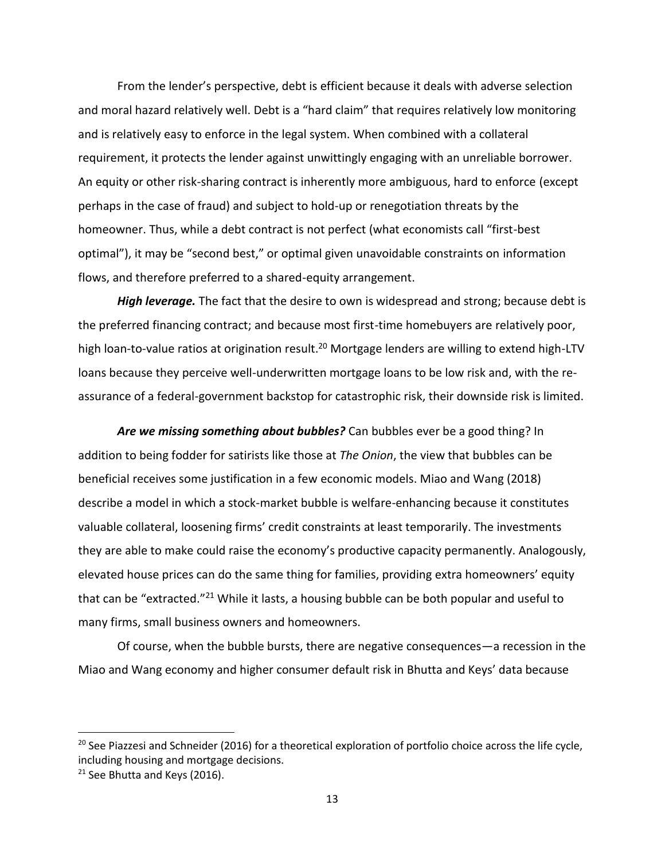From the lender's perspective, debt is efficient because it deals with adverse selection and moral hazard relatively well. Debt is a "hard claim" that requires relatively low monitoring and is relatively easy to enforce in the legal system. When combined with a collateral requirement, it protects the lender against unwittingly engaging with an unreliable borrower. An equity or other risk-sharing contract is inherently more ambiguous, hard to enforce (except perhaps in the case of fraud) and subject to hold-up or renegotiation threats by the homeowner. Thus, while a debt contract is not perfect (what economists call "first-best optimal"), it may be "second best," or optimal given unavoidable constraints on information flows, and therefore preferred to a shared-equity arrangement.

*High leverage.* The fact that the desire to own is widespread and strong; because debt is the preferred financing contract; and because most first-time homebuyers are relatively poor, high loan-to-value ratios at origination result.<sup>20</sup> Mortgage lenders are willing to extend high-LTV loans because they perceive well-underwritten mortgage loans to be low risk and, with the reassurance of a federal-government backstop for catastrophic risk, their downside risk is limited.

*Are we missing something about bubbles?* Can bubbles ever be a good thing? In addition to being fodder for satirists like those at *The Onion*, the view that bubbles can be beneficial receives some justification in a few economic models. Miao and Wang (2018) describe a model in which a stock-market bubble is welfare-enhancing because it constitutes valuable collateral, loosening firms' credit constraints at least temporarily. The investments they are able to make could raise the economy's productive capacity permanently. Analogously, elevated house prices can do the same thing for families, providing extra homeowners' equity that can be "extracted."<sup>21</sup> While it lasts, a housing bubble can be both popular and useful to many firms, small business owners and homeowners.

Of course, when the bubble bursts, there are negative consequences—a recession in the Miao and Wang economy and higher consumer default risk in Bhutta and Keys' data because

 $\overline{a}$ 

 $20$  See Piazzesi and Schneider (2016) for a theoretical exploration of portfolio choice across the life cycle, including housing and mortgage decisions.

 $21$  See Bhutta and Keys (2016).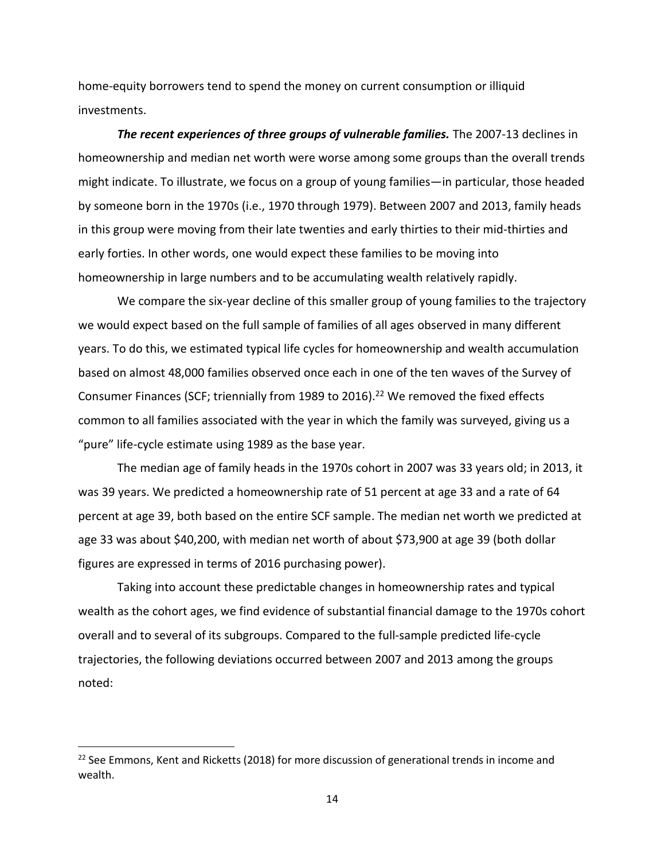home-equity borrowers tend to spend the money on current consumption or illiquid investments.

*The recent experiences of three groups of vulnerable families.* The 2007-13 declines in homeownership and median net worth were worse among some groups than the overall trends might indicate. To illustrate, we focus on a group of young families—in particular, those headed by someone born in the 1970s (i.e., 1970 through 1979). Between 2007 and 2013, family heads in this group were moving from their late twenties and early thirties to their mid-thirties and early forties. In other words, one would expect these families to be moving into homeownership in large numbers and to be accumulating wealth relatively rapidly.

We compare the six-year decline of this smaller group of young families to the trajectory we would expect based on the full sample of families of all ages observed in many different years. To do this, we estimated typical life cycles for homeownership and wealth accumulation based on almost 48,000 families observed once each in one of the ten waves of the Survey of Consumer Finances (SCF; triennially from 1989 to 2016).<sup>22</sup> We removed the fixed effects common to all families associated with the year in which the family was surveyed, giving us a "pure" life-cycle estimate using 1989 as the base year.

The median age of family heads in the 1970s cohort in 2007 was 33 years old; in 2013, it was 39 years. We predicted a homeownership rate of 51 percent at age 33 and a rate of 64 percent at age 39, both based on the entire SCF sample. The median net worth we predicted at age 33 was about \$40,200, with median net worth of about \$73,900 at age 39 (both dollar figures are expressed in terms of 2016 purchasing power).

Taking into account these predictable changes in homeownership rates and typical wealth as the cohort ages, we find evidence of substantial financial damage to the 1970s cohort overall and to several of its subgroups. Compared to the full-sample predicted life-cycle trajectories, the following deviations occurred between 2007 and 2013 among the groups noted:

 $22$  See Emmons, Kent and Ricketts (2018) for more discussion of generational trends in income and wealth.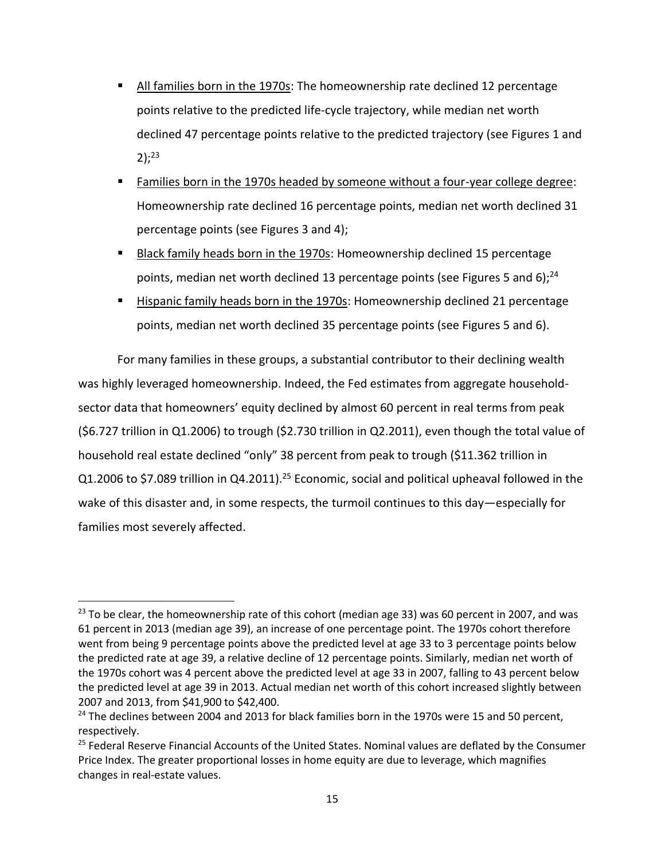- All families born in the 1970s: The homeownership rate declined 12 percentage points relative to the predicted life-cycle trajectory, while median net worth declined 47 percentage points relative to the predicted trajectory (see Figures 1 and 2); 23
- **Families born in the 1970s headed by someone without a four-year college degree:** Homeownership rate declined 16 percentage points, median net worth declined 31 percentage points (see Figures 3 and 4);
- Black family heads born in the 1970s: Homeownership declined 15 percentage points, median net worth declined 13 percentage points (see Figures 5 and 6);<sup>24</sup>
- Hispanic family heads born in the 1970s: Homeownership declined 21 percentage points, median net worth declined 35 percentage points (see Figures 5 and 6).

For many families in these groups, a substantial contributor to their declining wealth was highly leveraged homeownership. Indeed, the Fed estimates from aggregate householdsector data that homeowners' equity declined by almost 60 percent in real terms from peak (\$6.727 trillion in Q1.2006) to trough (\$2.730 trillion in Q2.2011), even though the total value of household real estate declined "only" 38 percent from peak to trough (\$11.362 trillion in Q1.2006 to \$7.089 trillion in Q4.2011).<sup>25</sup> Economic, social and political upheaval followed in the wake of this disaster and, in some respects, the turmoil continues to this day—especially for families most severely affected.

 $23$  To be clear, the homeownership rate of this cohort (median age 33) was 60 percent in 2007, and was 61 percent in 2013 (median age 39), an increase of one percentage point. The 1970s cohort therefore went from being 9 percentage points above the predicted level at age 33 to 3 percentage points below the predicted rate at age 39, a relative decline of 12 percentage points. Similarly, median net worth of the 1970s cohort was 4 percent above the predicted level at age 33 in 2007, falling to 43 percent below the predicted level at age 39 in 2013. Actual median net worth of this cohort increased slightly between 2007 and 2013, from \$41,900 to \$42,400.

<sup>&</sup>lt;sup>24</sup> The declines between 2004 and 2013 for black families born in the 1970s were 15 and 50 percent, respectively.

<sup>&</sup>lt;sup>25</sup> Federal Reserve Financial Accounts of the United States. Nominal values are deflated by the Consumer Price Index. The greater proportional losses in home equity are due to leverage, which magnifies changes in real-estate values.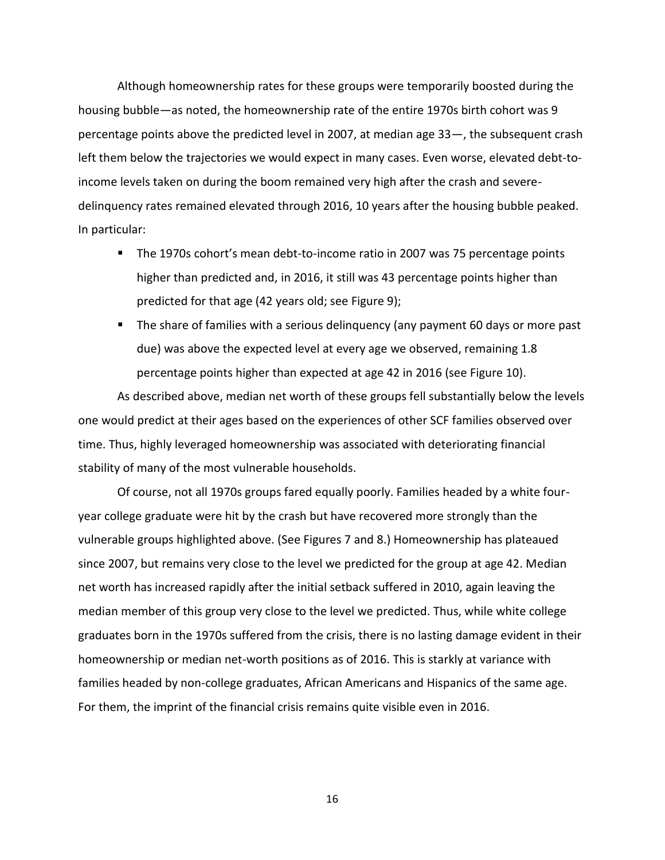Although homeownership rates for these groups were temporarily boosted during the housing bubble—as noted, the homeownership rate of the entire 1970s birth cohort was 9 percentage points above the predicted level in 2007, at median age 33—, the subsequent crash left them below the trajectories we would expect in many cases. Even worse, elevated debt-toincome levels taken on during the boom remained very high after the crash and severedelinquency rates remained elevated through 2016, 10 years after the housing bubble peaked. In particular:

- The 1970s cohort's mean debt-to-income ratio in 2007 was 75 percentage points higher than predicted and, in 2016, it still was 43 percentage points higher than predicted for that age (42 years old; see Figure 9);
- **The share of families with a serious delinguency (any payment 60 days or more past** due) was above the expected level at every age we observed, remaining 1.8 percentage points higher than expected at age 42 in 2016 (see Figure 10).

As described above, median net worth of these groups fell substantially below the levels one would predict at their ages based on the experiences of other SCF families observed over time. Thus, highly leveraged homeownership was associated with deteriorating financial stability of many of the most vulnerable households.

Of course, not all 1970s groups fared equally poorly. Families headed by a white fouryear college graduate were hit by the crash but have recovered more strongly than the vulnerable groups highlighted above. (See Figures 7 and 8.) Homeownership has plateaued since 2007, but remains very close to the level we predicted for the group at age 42. Median net worth has increased rapidly after the initial setback suffered in 2010, again leaving the median member of this group very close to the level we predicted. Thus, while white college graduates born in the 1970s suffered from the crisis, there is no lasting damage evident in their homeownership or median net-worth positions as of 2016. This is starkly at variance with families headed by non-college graduates, African Americans and Hispanics of the same age. For them, the imprint of the financial crisis remains quite visible even in 2016.

16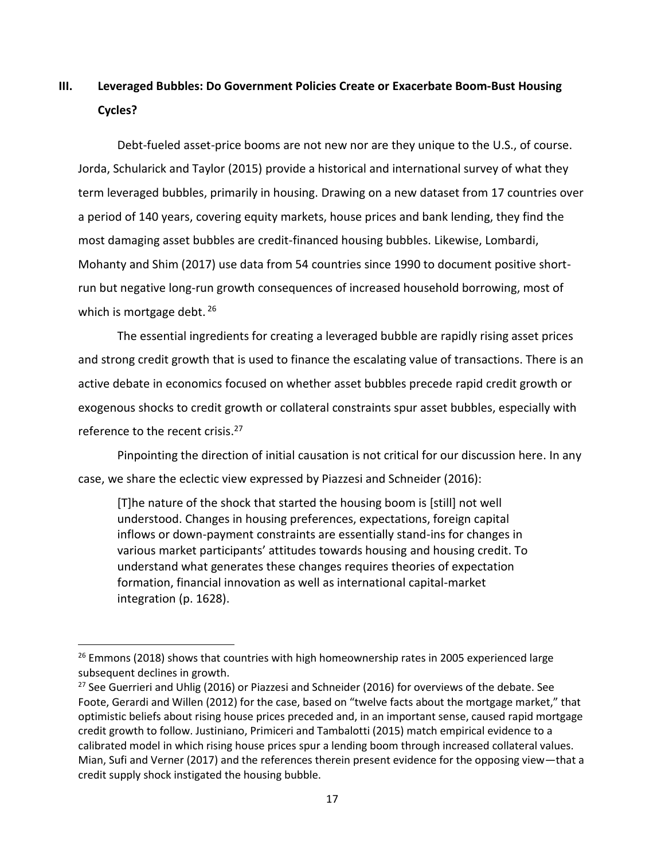# **III. Leveraged Bubbles: Do Government Policies Create or Exacerbate Boom-Bust Housing Cycles?**

Debt-fueled asset-price booms are not new nor are they unique to the U.S., of course. Jorda, Schularick and Taylor (2015) provide a historical and international survey of what they term leveraged bubbles, primarily in housing. Drawing on a new dataset from 17 countries over a period of 140 years, covering equity markets, house prices and bank lending, they find the most damaging asset bubbles are credit-financed housing bubbles. Likewise, Lombardi, Mohanty and Shim (2017) use data from 54 countries since 1990 to document positive shortrun but negative long-run growth consequences of increased household borrowing, most of which is mortgage debt. 26

The essential ingredients for creating a leveraged bubble are rapidly rising asset prices and strong credit growth that is used to finance the escalating value of transactions. There is an active debate in economics focused on whether asset bubbles precede rapid credit growth or exogenous shocks to credit growth or collateral constraints spur asset bubbles, especially with reference to the recent crisis.<sup>27</sup>

Pinpointing the direction of initial causation is not critical for our discussion here. In any case, we share the eclectic view expressed by Piazzesi and Schneider (2016):

[T]he nature of the shock that started the housing boom is [still] not well understood. Changes in housing preferences, expectations, foreign capital inflows or down-payment constraints are essentially stand-ins for changes in various market participants' attitudes towards housing and housing credit. To understand what generates these changes requires theories of expectation formation, financial innovation as well as international capital-market integration (p. 1628).

l

 $26$  Emmons (2018) shows that countries with high homeownership rates in 2005 experienced large subsequent declines in growth.

<sup>&</sup>lt;sup>27</sup> See Guerrieri and Uhlig (2016) or Piazzesi and Schneider (2016) for overviews of the debate. See Foote, Gerardi and Willen (2012) for the case, based on "twelve facts about the mortgage market," that optimistic beliefs about rising house prices preceded and, in an important sense, caused rapid mortgage credit growth to follow. Justiniano, Primiceri and Tambalotti (2015) match empirical evidence to a calibrated model in which rising house prices spur a lending boom through increased collateral values. Mian, Sufi and Verner (2017) and the references therein present evidence for the opposing view—that a credit supply shock instigated the housing bubble.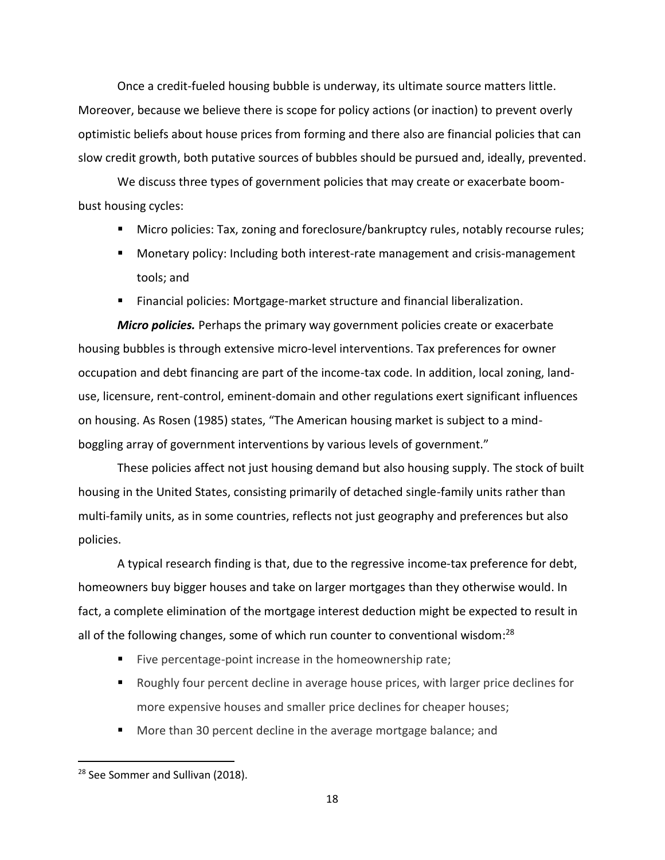Once a credit-fueled housing bubble is underway, its ultimate source matters little. Moreover, because we believe there is scope for policy actions (or inaction) to prevent overly optimistic beliefs about house prices from forming and there also are financial policies that can slow credit growth, both putative sources of bubbles should be pursued and, ideally, prevented.

We discuss three types of government policies that may create or exacerbate boombust housing cycles:

- **Micro policies: Tax, zoning and foreclosure/bankruptcy rules, notably recourse rules;**
- Monetary policy: Including both interest-rate management and crisis-management tools; and
- Financial policies: Mortgage-market structure and financial liberalization.

*Micro policies.* Perhaps the primary way government policies create or exacerbate housing bubbles is through extensive micro-level interventions. Tax preferences for owner occupation and debt financing are part of the income-tax code. In addition, local zoning, landuse, licensure, rent-control, eminent-domain and other regulations exert significant influences on housing. As Rosen (1985) states, "The American housing market is subject to a mindboggling array of government interventions by various levels of government."

These policies affect not just housing demand but also housing supply. The stock of built housing in the United States, consisting primarily of detached single-family units rather than multi-family units, as in some countries, reflects not just geography and preferences but also policies.

A typical research finding is that, due to the regressive income-tax preference for debt, homeowners buy bigger houses and take on larger mortgages than they otherwise would. In fact, a complete elimination of the mortgage interest deduction might be expected to result in all of the following changes, some of which run counter to conventional wisdom:<sup>28</sup>

- Five percentage-point increase in the homeownership rate;
- Roughly four percent decline in average house prices, with larger price declines for more expensive houses and smaller price declines for cheaper houses;
- More than 30 percent decline in the average mortgage balance; and

<sup>&</sup>lt;sup>28</sup> See Sommer and Sullivan (2018).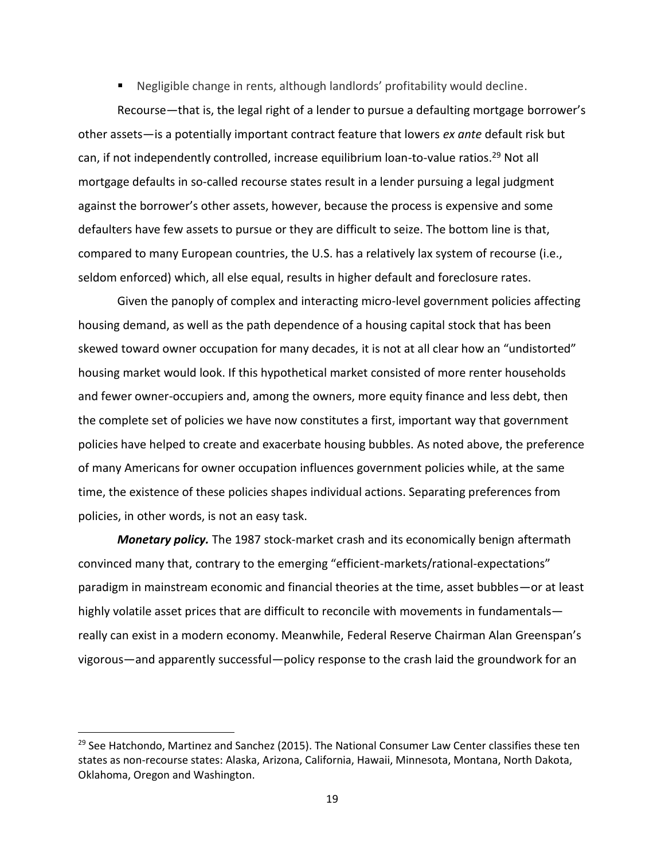Negligible change in rents, although landlords' profitability would decline.

Recourse—that is, the legal right of a lender to pursue a defaulting mortgage borrower's other assets—is a potentially important contract feature that lowers *ex ante* default risk but can, if not independently controlled, increase equilibrium loan-to-value ratios.<sup>29</sup> Not all mortgage defaults in so-called recourse states result in a lender pursuing a legal judgment against the borrower's other assets, however, because the process is expensive and some defaulters have few assets to pursue or they are difficult to seize. The bottom line is that, compared to many European countries, the U.S. has a relatively lax system of recourse (i.e., seldom enforced) which, all else equal, results in higher default and foreclosure rates.

Given the panoply of complex and interacting micro-level government policies affecting housing demand, as well as the path dependence of a housing capital stock that has been skewed toward owner occupation for many decades, it is not at all clear how an "undistorted" housing market would look. If this hypothetical market consisted of more renter households and fewer owner-occupiers and, among the owners, more equity finance and less debt, then the complete set of policies we have now constitutes a first, important way that government policies have helped to create and exacerbate housing bubbles. As noted above, the preference of many Americans for owner occupation influences government policies while, at the same time, the existence of these policies shapes individual actions. Separating preferences from policies, in other words, is not an easy task.

*Monetary policy.* The 1987 stock-market crash and its economically benign aftermath convinced many that, contrary to the emerging "efficient-markets/rational-expectations" paradigm in mainstream economic and financial theories at the time, asset bubbles—or at least highly volatile asset prices that are difficult to reconcile with movements in fundamentals really can exist in a modern economy. Meanwhile, Federal Reserve Chairman Alan Greenspan's vigorous—and apparently successful—policy response to the crash laid the groundwork for an

 $\overline{a}$ 

<sup>&</sup>lt;sup>29</sup> See Hatchondo, Martinez and Sanchez (2015). The National Consumer Law Center classifies these ten states as non-recourse states: Alaska, Arizona, California, Hawaii, Minnesota, Montana, North Dakota, Oklahoma, Oregon and Washington.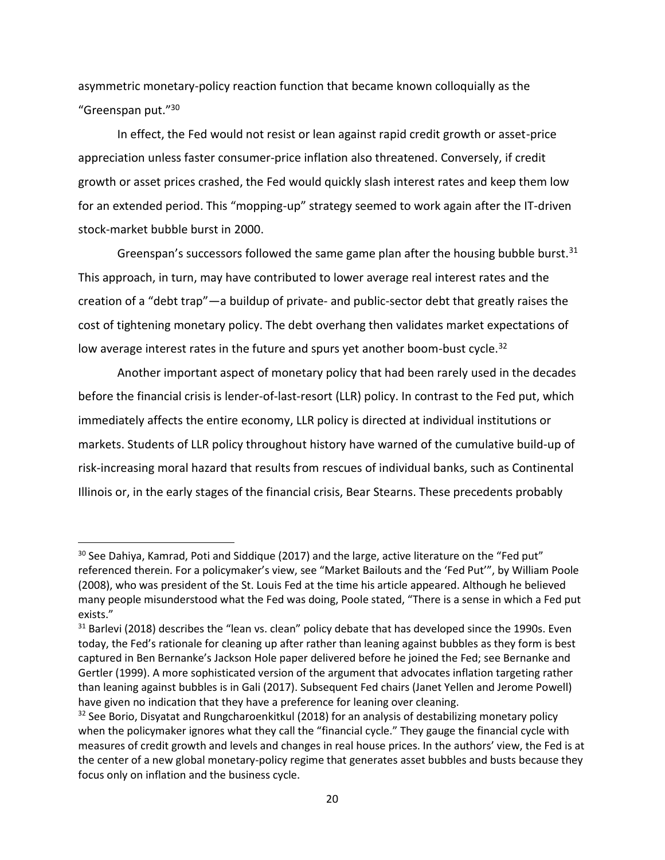asymmetric monetary-policy reaction function that became known colloquially as the "Greenspan put."30

In effect, the Fed would not resist or lean against rapid credit growth or asset-price appreciation unless faster consumer-price inflation also threatened. Conversely, if credit growth or asset prices crashed, the Fed would quickly slash interest rates and keep them low for an extended period. This "mopping-up" strategy seemed to work again after the IT-driven stock-market bubble burst in 2000.

Greenspan's successors followed the same game plan after the housing bubble burst.  $31$ This approach, in turn, may have contributed to lower average real interest rates and the creation of a "debt trap"—a buildup of private- and public-sector debt that greatly raises the cost of tightening monetary policy. The debt overhang then validates market expectations of low average interest rates in the future and spurs yet another boom-bust cycle.<sup>32</sup>

Another important aspect of monetary policy that had been rarely used in the decades before the financial crisis is lender-of-last-resort (LLR) policy. In contrast to the Fed put, which immediately affects the entire economy, LLR policy is directed at individual institutions or markets. Students of LLR policy throughout history have warned of the cumulative build-up of risk-increasing moral hazard that results from rescues of individual banks, such as Continental Illinois or, in the early stages of the financial crisis, Bear Stearns. These precedents probably

<sup>&</sup>lt;sup>30</sup> See Dahiya, Kamrad, Poti and Siddique (2017) and the large, active literature on the "Fed put" referenced therein. For a policymaker's view, see "Market Bailouts and the 'Fed Put'", by William Poole (2008), who was president of the St. Louis Fed at the time his article appeared. Although he believed many people misunderstood what the Fed was doing, Poole stated, "There is a sense in which a Fed put exists."

<sup>&</sup>lt;sup>31</sup> Barlevi (2018) describes the "lean vs. clean" policy debate that has developed since the 1990s. Even today, the Fed's rationale for cleaning up after rather than leaning against bubbles as they form is best captured in Ben Bernanke's Jackson Hole paper delivered before he joined the Fed; see Bernanke and Gertler (1999). A more sophisticated version of the argument that advocates inflation targeting rather than leaning against bubbles is in Gali (2017). Subsequent Fed chairs (Janet Yellen and Jerome Powell) have given no indication that they have a preference for leaning over cleaning.

<sup>&</sup>lt;sup>32</sup> See Borio, Disyatat and Rungcharoenkitkul (2018) for an analysis of destabilizing monetary policy when the policymaker ignores what they call the "financial cycle." They gauge the financial cycle with measures of credit growth and levels and changes in real house prices. In the authors' view, the Fed is at the center of a new global monetary-policy regime that generates asset bubbles and busts because they focus only on inflation and the business cycle.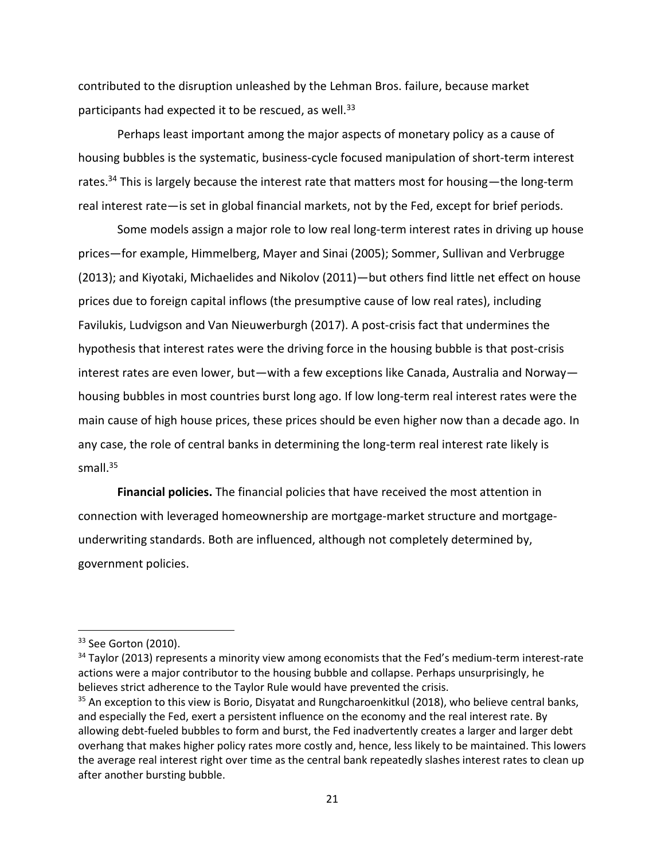contributed to the disruption unleashed by the Lehman Bros. failure, because market participants had expected it to be rescued, as well.<sup>33</sup>

Perhaps least important among the major aspects of monetary policy as a cause of housing bubbles is the systematic, business-cycle focused manipulation of short-term interest rates.<sup>34</sup> This is largely because the interest rate that matters most for housing—the long-term real interest rate—is set in global financial markets, not by the Fed, except for brief periods.

Some models assign a major role to low real long-term interest rates in driving up house prices—for example, Himmelberg, Mayer and Sinai (2005); Sommer, Sullivan and Verbrugge (2013); and Kiyotaki, Michaelides and Nikolov (2011)—but others find little net effect on house prices due to foreign capital inflows (the presumptive cause of low real rates), including Favilukis, Ludvigson and Van Nieuwerburgh (2017). A post-crisis fact that undermines the hypothesis that interest rates were the driving force in the housing bubble is that post-crisis interest rates are even lower, but—with a few exceptions like Canada, Australia and Norway housing bubbles in most countries burst long ago. If low long-term real interest rates were the main cause of high house prices, these prices should be even higher now than a decade ago. In any case, the role of central banks in determining the long-term real interest rate likely is small.<sup>35</sup>

**Financial policies.** The financial policies that have received the most attention in connection with leveraged homeownership are mortgage-market structure and mortgageunderwriting standards. Both are influenced, although not completely determined by, government policies.

<sup>&</sup>lt;sup>33</sup> See Gorton (2010).

 $34$  Taylor (2013) represents a minority view among economists that the Fed's medium-term interest-rate actions were a major contributor to the housing bubble and collapse. Perhaps unsurprisingly, he believes strict adherence to the Taylor Rule would have prevented the crisis.

<sup>&</sup>lt;sup>35</sup> An exception to this view is Borio, Disyatat and Rungcharoenkitkul (2018), who believe central banks, and especially the Fed, exert a persistent influence on the economy and the real interest rate. By allowing debt-fueled bubbles to form and burst, the Fed inadvertently creates a larger and larger debt overhang that makes higher policy rates more costly and, hence, less likely to be maintained. This lowers the average real interest right over time as the central bank repeatedly slashes interest rates to clean up after another bursting bubble.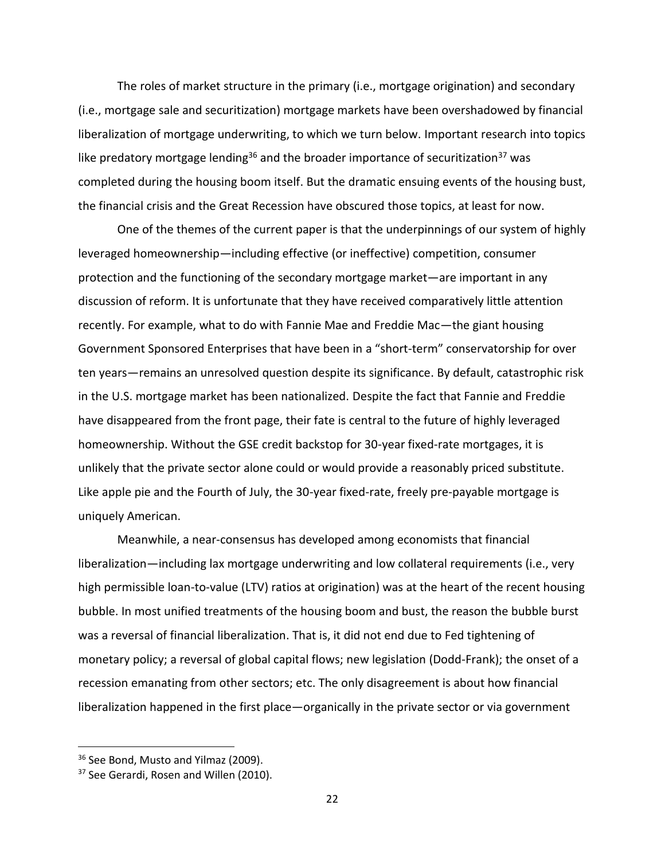The roles of market structure in the primary (i.e., mortgage origination) and secondary (i.e., mortgage sale and securitization) mortgage markets have been overshadowed by financial liberalization of mortgage underwriting, to which we turn below. Important research into topics like predatory mortgage lending<sup>36</sup> and the broader importance of securitization<sup>37</sup> was completed during the housing boom itself. But the dramatic ensuing events of the housing bust, the financial crisis and the Great Recession have obscured those topics, at least for now.

One of the themes of the current paper is that the underpinnings of our system of highly leveraged homeownership—including effective (or ineffective) competition, consumer protection and the functioning of the secondary mortgage market—are important in any discussion of reform. It is unfortunate that they have received comparatively little attention recently. For example, what to do with Fannie Mae and Freddie Mac—the giant housing Government Sponsored Enterprises that have been in a "short-term" conservatorship for over ten years—remains an unresolved question despite its significance. By default, catastrophic risk in the U.S. mortgage market has been nationalized. Despite the fact that Fannie and Freddie have disappeared from the front page, their fate is central to the future of highly leveraged homeownership. Without the GSE credit backstop for 30-year fixed-rate mortgages, it is unlikely that the private sector alone could or would provide a reasonably priced substitute. Like apple pie and the Fourth of July, the 30-year fixed-rate, freely pre-payable mortgage is uniquely American.

Meanwhile, a near-consensus has developed among economists that financial liberalization—including lax mortgage underwriting and low collateral requirements (i.e., very high permissible loan-to-value (LTV) ratios at origination) was at the heart of the recent housing bubble. In most unified treatments of the housing boom and bust, the reason the bubble burst was a reversal of financial liberalization. That is, it did not end due to Fed tightening of monetary policy; a reversal of global capital flows; new legislation (Dodd-Frank); the onset of a recession emanating from other sectors; etc. The only disagreement is about how financial liberalization happened in the first place—organically in the private sector or via government

<sup>&</sup>lt;sup>36</sup> See Bond, Musto and Yilmaz (2009).

<sup>&</sup>lt;sup>37</sup> See Gerardi, Rosen and Willen (2010).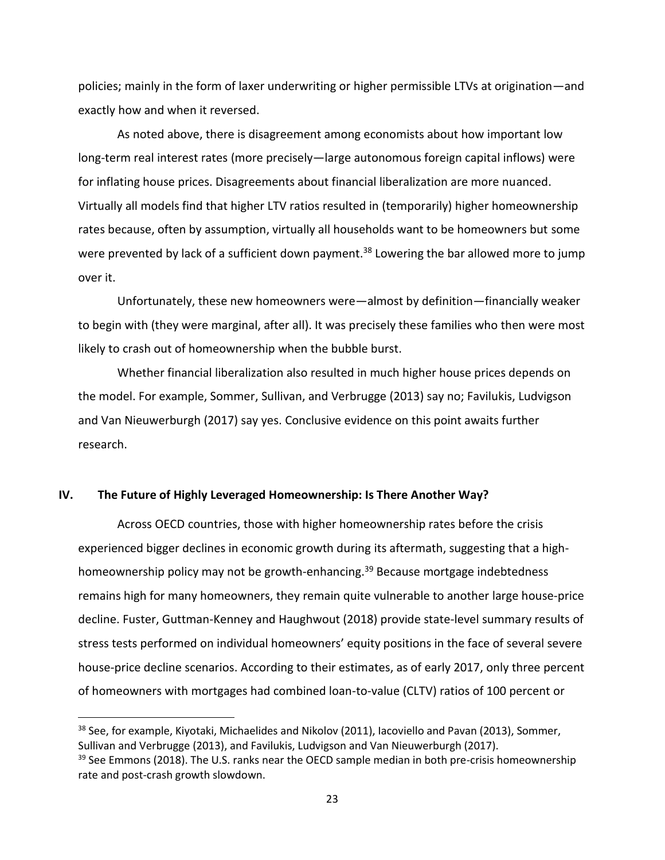policies; mainly in the form of laxer underwriting or higher permissible LTVs at origination—and exactly how and when it reversed.

As noted above, there is disagreement among economists about how important low long-term real interest rates (more precisely—large autonomous foreign capital inflows) were for inflating house prices. Disagreements about financial liberalization are more nuanced. Virtually all models find that higher LTV ratios resulted in (temporarily) higher homeownership rates because, often by assumption, virtually all households want to be homeowners but some were prevented by lack of a sufficient down payment.<sup>38</sup> Lowering the bar allowed more to jump over it.

Unfortunately, these new homeowners were—almost by definition—financially weaker to begin with (they were marginal, after all). It was precisely these families who then were most likely to crash out of homeownership when the bubble burst.

Whether financial liberalization also resulted in much higher house prices depends on the model. For example, Sommer, Sullivan, and Verbrugge (2013) say no; Favilukis, Ludvigson and Van Nieuwerburgh (2017) say yes. Conclusive evidence on this point awaits further research.

#### **IV. The Future of Highly Leveraged Homeownership: Is There Another Way?**

l

Across OECD countries, those with higher homeownership rates before the crisis experienced bigger declines in economic growth during its aftermath, suggesting that a highhomeownership policy may not be growth-enhancing.<sup>39</sup> Because mortgage indebtedness remains high for many homeowners, they remain quite vulnerable to another large house-price decline. Fuster, Guttman-Kenney and Haughwout (2018) provide state-level summary results of stress tests performed on individual homeowners' equity positions in the face of several severe house-price decline scenarios. According to their estimates, as of early 2017, only three percent of homeowners with mortgages had combined loan-to-value (CLTV) ratios of 100 percent or

<sup>&</sup>lt;sup>38</sup> See, for example, Kiyotaki, Michaelides and Nikolov (2011), Iacoviello and Pavan (2013), Sommer, Sullivan and Verbrugge (2013), and Favilukis, Ludvigson and Van Nieuwerburgh (2017).

<sup>&</sup>lt;sup>39</sup> See Emmons (2018). The U.S. ranks near the OECD sample median in both pre-crisis homeownership rate and post-crash growth slowdown.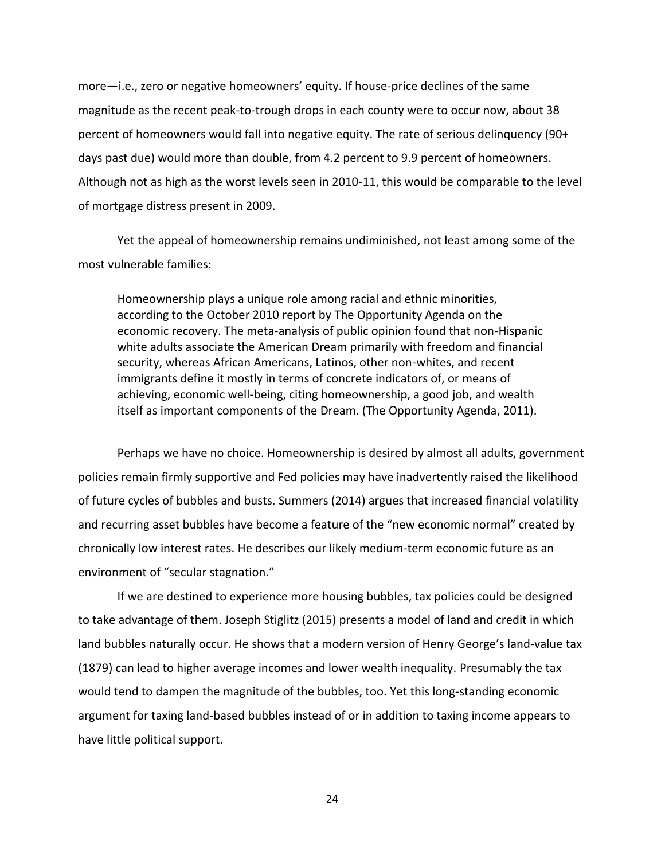more—i.e., zero or negative homeowners' equity. If house-price declines of the same magnitude as the recent peak-to-trough drops in each county were to occur now, about 38 percent of homeowners would fall into negative equity. The rate of serious delinquency (90+ days past due) would more than double, from 4.2 percent to 9.9 percent of homeowners. Although not as high as the worst levels seen in 2010-11, this would be comparable to the level of mortgage distress present in 2009.

Yet the appeal of homeownership remains undiminished, not least among some of the most vulnerable families:

Homeownership plays a unique role among racial and ethnic minorities, according to the October 2010 report by The Opportunity Agenda on the economic recovery. The meta-analysis of public opinion found that non-Hispanic white adults associate the American Dream primarily with freedom and financial security, whereas African Americans, Latinos, other non-whites, and recent immigrants define it mostly in terms of concrete indicators of, or means of achieving, economic well-being, citing homeownership, a good job, and wealth itself as important components of the Dream. (The Opportunity Agenda, 2011).

Perhaps we have no choice. Homeownership is desired by almost all adults, government policies remain firmly supportive and Fed policies may have inadvertently raised the likelihood of future cycles of bubbles and busts. Summers (2014) argues that increased financial volatility and recurring asset bubbles have become a feature of the "new economic normal" created by chronically low interest rates. He describes our likely medium-term economic future as an environment of "secular stagnation."

If we are destined to experience more housing bubbles, tax policies could be designed to take advantage of them. Joseph Stiglitz (2015) presents a model of land and credit in which land bubbles naturally occur. He shows that a modern version of Henry George's land-value tax (1879) can lead to higher average incomes and lower wealth inequality. Presumably the tax would tend to dampen the magnitude of the bubbles, too. Yet this long-standing economic argument for taxing land-based bubbles instead of or in addition to taxing income appears to have little political support.

24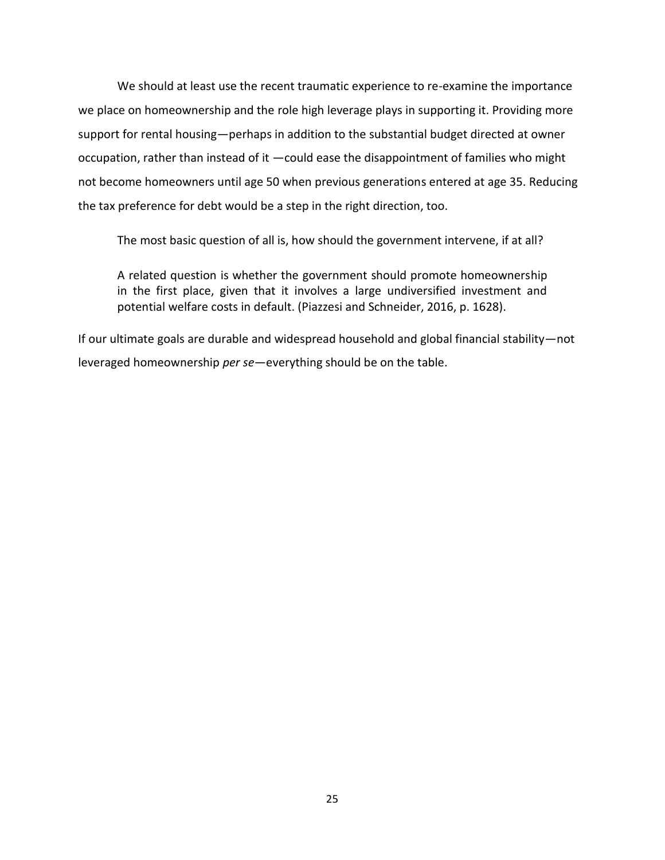We should at least use the recent traumatic experience to re-examine the importance we place on homeownership and the role high leverage plays in supporting it. Providing more support for rental housing—perhaps in addition to the substantial budget directed at owner occupation, rather than instead of it —could ease the disappointment of families who might not become homeowners until age 50 when previous generations entered at age 35. Reducing the tax preference for debt would be a step in the right direction, too.

The most basic question of all is, how should the government intervene, if at all?

A related question is whether the government should promote homeownership in the first place, given that it involves a large undiversified investment and potential welfare costs in default. (Piazzesi and Schneider, 2016, p. 1628).

If our ultimate goals are durable and widespread household and global financial stability—not leveraged homeownership *per se*—everything should be on the table.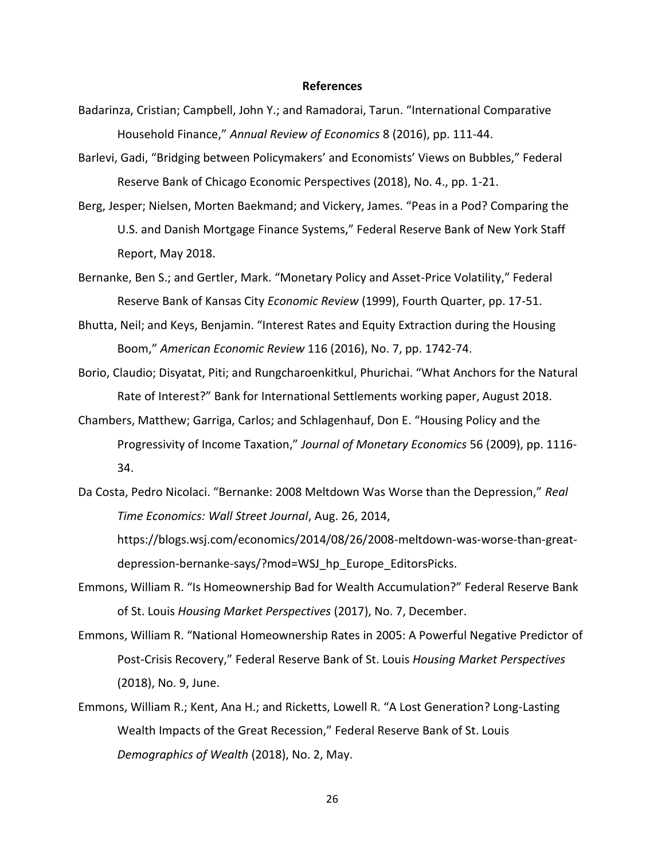#### **References**

- Badarinza, Cristian; Campbell, John Y.; and Ramadorai, Tarun. "International Comparative Household Finance," *Annual Review of Economics* 8 (2016), pp. 111-44.
- Barlevi, Gadi, "Bridging between Policymakers' and Economists' Views on Bubbles," Federal Reserve Bank of Chicago Economic Perspectives (2018), No. 4., pp. 1-21.
- Berg, Jesper; Nielsen, Morten Baekmand; and Vickery, James. "Peas in a Pod? Comparing the U.S. and Danish Mortgage Finance Systems," Federal Reserve Bank of New York Staff Report, May 2018.
- Bernanke, Ben S.; and Gertler, Mark. "Monetary Policy and Asset-Price Volatility," Federal Reserve Bank of Kansas City *Economic Review* (1999), Fourth Quarter, pp. 17-51.
- Bhutta, Neil; and Keys, Benjamin. "Interest Rates and Equity Extraction during the Housing Boom," *American Economic Review* 116 (2016), No. 7, pp. 1742-74.
- Borio, Claudio; Disyatat, Piti; and Rungcharoenkitkul, Phurichai. "What Anchors for the Natural Rate of Interest?" Bank for International Settlements working paper, August 2018.
- Chambers, Matthew; Garriga, Carlos; and Schlagenhauf, Don E. "Housing Policy and the Progressivity of Income Taxation," *Journal of Monetary Economics* 56 (2009), pp. 1116- 34.
- Da Costa, Pedro Nicolaci. "Bernanke: 2008 Meltdown Was Worse than the Depression," *Real Time Economics: Wall Street Journal*, Aug. 26, 2014,

https://blogs.wsj.com/economics/2014/08/26/2008-meltdown-was-worse-than-greatdepression-bernanke-says/?mod=WSJ\_hp\_Europe\_EditorsPicks.

- Emmons, William R. "Is Homeownership Bad for Wealth Accumulation?" Federal Reserve Bank of St. Louis *Housing Market Perspectives* (2017), No. 7, December.
- Emmons, William R. "National Homeownership Rates in 2005: A Powerful Negative Predictor of Post-Crisis Recovery," Federal Reserve Bank of St. Louis *Housing Market Perspectives* (2018), No. 9, June.
- Emmons, William R.; Kent, Ana H.; and Ricketts, Lowell R. "A Lost Generation? Long-Lasting Wealth Impacts of the Great Recession," Federal Reserve Bank of St. Louis *Demographics of Wealth* (2018), No. 2, May.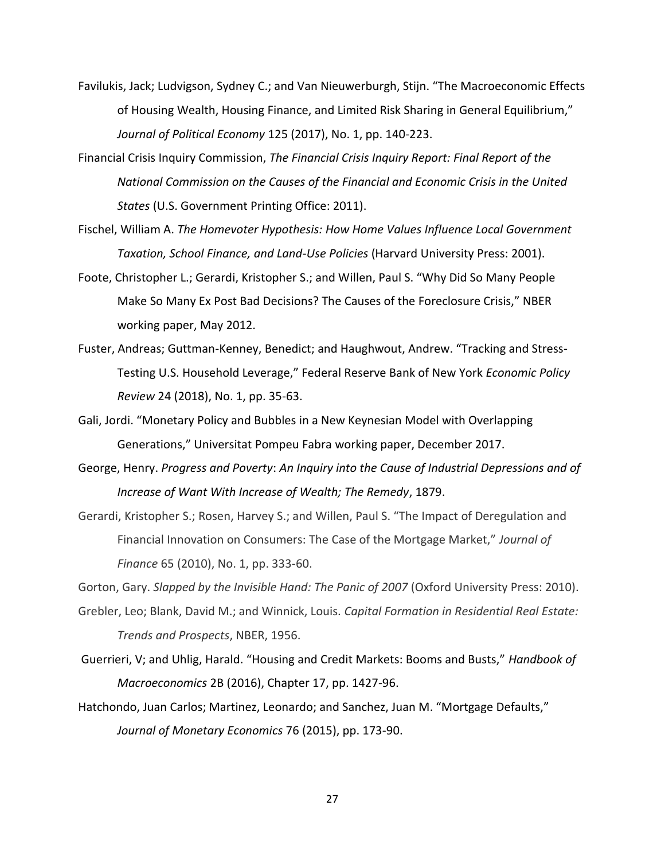- Favilukis, Jack; Ludvigson, Sydney C.; and Van Nieuwerburgh, Stijn. "The Macroeconomic Effects of Housing Wealth, Housing Finance, and Limited Risk Sharing in General Equilibrium," *Journal of Political Economy* 125 (2017), No. 1, pp. 140-223.
- Financial Crisis Inquiry Commission, *The Financial Crisis Inquiry Report: Final Report of the National Commission on the Causes of the Financial and Economic Crisis in the United States* (U.S. Government Printing Office: 2011).
- Fischel, William A. *The Homevoter Hypothesis: How Home Values Influence Local Government Taxation, School Finance, and Land-Use Policies* (Harvard University Press: 2001).
- Foote, Christopher L.; Gerardi, Kristopher S.; and Willen, Paul S. "Why Did So Many People Make So Many Ex Post Bad Decisions? The Causes of the Foreclosure Crisis," NBER working paper, May 2012.
- Fuster, Andreas; Guttman-Kenney, Benedict; and Haughwout, Andrew. "Tracking and Stress-Testing U.S. Household Leverage," Federal Reserve Bank of New York *Economic Policy Review* 24 (2018), No. 1, pp. 35-63.
- Gali, Jordi. "Monetary Policy and Bubbles in a New Keynesian Model with Overlapping Generations," Universitat Pompeu Fabra working paper, December 2017.
- George, Henry. *Progress and Poverty*: *An Inquiry into the Cause of Industrial Depressions and of Increase of Want With Increase of Wealth; The Remedy*, 1879.
- Gerardi, Kristopher S.; Rosen, Harvey S.; and Willen, Paul S. "The Impact of Deregulation and Financial Innovation on Consumers: The Case of the Mortgage Market," *Journal of Finance* 65 (2010), No. 1, pp. 333-60.

Gorton, Gary. *Slapped by the Invisible Hand: The Panic of 2007* (Oxford University Press: 2010).

- Grebler, Leo; Blank, David M.; and Winnick, Louis. *Capital Formation in Residential Real Estate: Trends and Prospects*, NBER, 1956.
- Guerrieri, V; and Uhlig, Harald. "Housing and Credit Markets: Booms and Busts," *Handbook of Macroeconomics* 2B (2016), Chapter 17, pp. 1427-96.
- Hatchondo, Juan Carlos; Martinez, Leonardo; and Sanchez, Juan M. "Mortgage Defaults," *Journal of Monetary Economics* 76 (2015), pp. 173-90.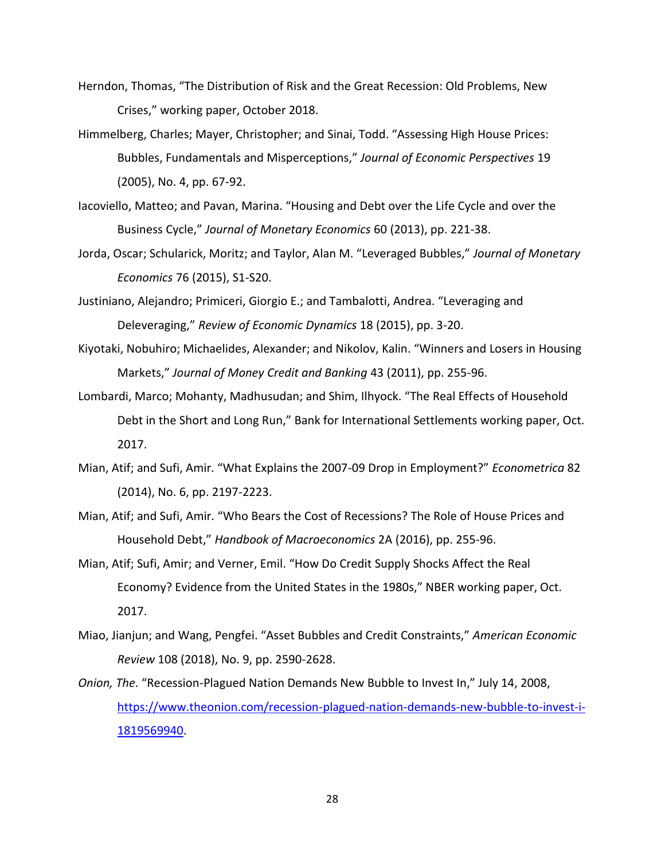- Herndon, Thomas, "The Distribution of Risk and the Great Recession: Old Problems, New Crises," working paper, October 2018.
- Himmelberg, Charles; Mayer, Christopher; and Sinai, Todd. "Assessing High House Prices: Bubbles, Fundamentals and Misperceptions," *Journal of Economic Perspectives* 19 (2005), No. 4, pp. 67-92.
- Iacoviello, Matteo; and Pavan, Marina. "Housing and Debt over the Life Cycle and over the Business Cycle," *Journal of Monetary Economics* 60 (2013), pp. 221-38.
- Jorda, Oscar; Schularick, Moritz; and Taylor, Alan M. "Leveraged Bubbles," *Journal of Monetary Economics* 76 (2015), S1-S20.
- Justiniano, Alejandro; Primiceri, Giorgio E.; and Tambalotti, Andrea. "Leveraging and Deleveraging," *Review of Economic Dynamics* 18 (2015), pp. 3-20.
- Kiyotaki, Nobuhiro; Michaelides, Alexander; and Nikolov, Kalin. "Winners and Losers in Housing Markets," *Journal of Money Credit and Banking* 43 (2011), pp. 255-96.
- Lombardi, Marco; Mohanty, Madhusudan; and Shim, Ilhyock. "The Real Effects of Household Debt in the Short and Long Run," Bank for International Settlements working paper, Oct. 2017.
- Mian, Atif; and Sufi, Amir. "What Explains the 2007-09 Drop in Employment?" *Econometrica* 82 (2014), No. 6, pp. 2197-2223.
- Mian, Atif; and Sufi, Amir. "Who Bears the Cost of Recessions? The Role of House Prices and Household Debt," *Handbook of Macroeconomics* 2A (2016), pp. 255-96.
- Mian, Atif; Sufi, Amir; and Verner, Emil. "How Do Credit Supply Shocks Affect the Real Economy? Evidence from the United States in the 1980s," NBER working paper, Oct. 2017.
- Miao, Jianjun; and Wang, Pengfei. "Asset Bubbles and Credit Constraints," *American Economic Review* 108 (2018), No. 9, pp. 2590-2628.
- *Onion, The*. "Recession-Plagued Nation Demands New Bubble to Invest In," July 14, 2008, [https://www.theonion.com/recession-plagued-nation-demands-new-bubble-to-invest-i-](https://www.theonion.com/recession-plagued-nation-demands-new-bubble-to-invest-i-1819569940)[1819569940.](https://www.theonion.com/recession-plagued-nation-demands-new-bubble-to-invest-i-1819569940)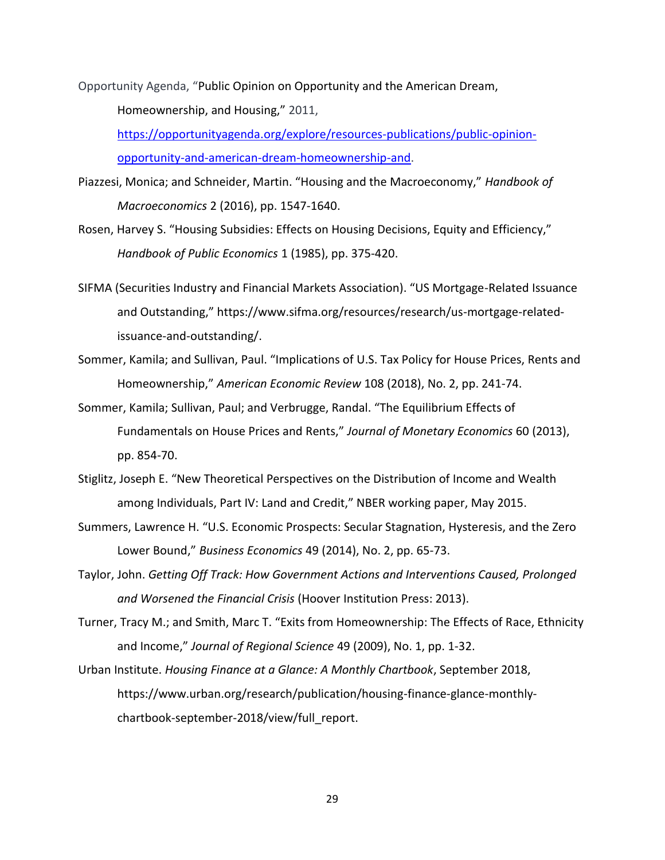Opportunity Agenda, "Public Opinion on Opportunity and the American Dream, Homeownership, and Housing," 2011, [https://opportunityagenda.org/explore/resources-publications/public-opinion-](https://opportunityagenda.org/explore/resources-publications/public-opinion-opportunity-and-american-dream-homeownership-and)

[opportunity-and-american-dream-homeownership-and.](https://opportunityagenda.org/explore/resources-publications/public-opinion-opportunity-and-american-dream-homeownership-and)

Piazzesi, Monica; and Schneider, Martin. "Housing and the Macroeconomy," *Handbook of Macroeconomics* 2 (2016), pp. 1547-1640.

Rosen, Harvey S. "Housing Subsidies: Effects on Housing Decisions, Equity and Efficiency," *Handbook of Public Economics* 1 (1985), pp. 375-420.

- SIFMA (Securities Industry and Financial Markets Association). "US Mortgage-Related Issuance and Outstanding," https://www.sifma.org/resources/research/us-mortgage-relatedissuance-and-outstanding/.
- Sommer, Kamila; and Sullivan, Paul. "Implications of U.S. Tax Policy for House Prices, Rents and Homeownership," *American Economic Review* 108 (2018), No. 2, pp. 241-74.
- Sommer, Kamila; Sullivan, Paul; and Verbrugge, Randal. "The Equilibrium Effects of Fundamentals on House Prices and Rents," *Journal of Monetary Economics* 60 (2013), pp. 854-70.
- Stiglitz, Joseph E. "New Theoretical Perspectives on the Distribution of Income and Wealth among Individuals, Part IV: Land and Credit," NBER working paper, May 2015.
- Summers, Lawrence H. "U.S. Economic Prospects: Secular Stagnation, Hysteresis, and the Zero Lower Bound," *Business Economics* 49 (2014), No. 2, pp. 65-73.
- Taylor, John. *Getting Off Track: How Government Actions and Interventions Caused, Prolonged and Worsened the Financial Crisis* (Hoover Institution Press: 2013).
- Turner, Tracy M.; and Smith, Marc T. "Exits from Homeownership: The Effects of Race, Ethnicity and Income," *Journal of Regional Science* 49 (2009), No. 1, pp. 1-32.
- Urban Institute. *Housing Finance at a Glance: A Monthly Chartbook*, September 2018, https://www.urban.org/research/publication/housing-finance-glance-monthlychartbook-september-2018/view/full\_report.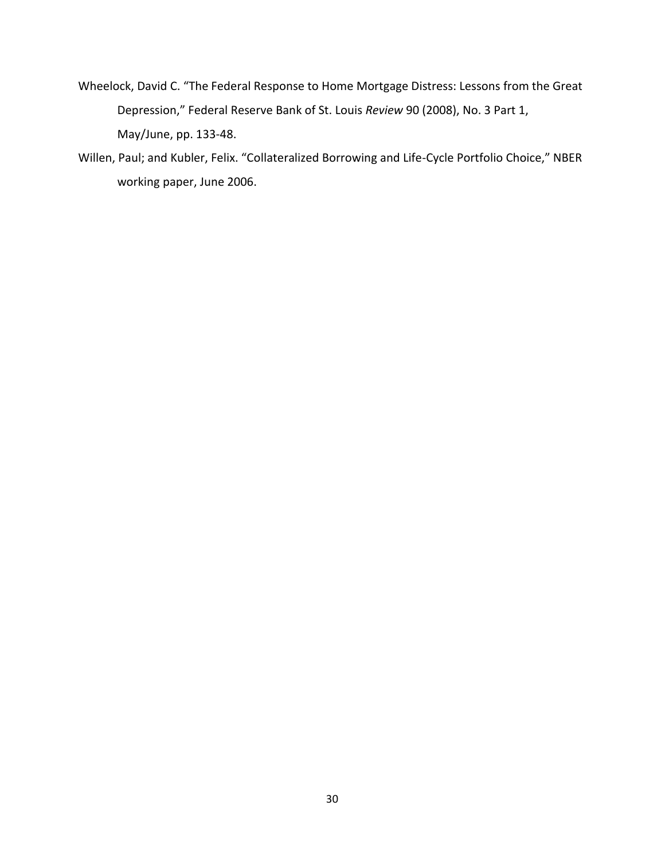- Wheelock, David C. "The Federal Response to Home Mortgage Distress: Lessons from the Great Depression," Federal Reserve Bank of St. Louis *Review* 90 (2008), No. 3 Part 1, May/June, pp. 133-48.
- Willen, Paul; and Kubler, Felix. "Collateralized Borrowing and Life-Cycle Portfolio Choice," NBER working paper, June 2006.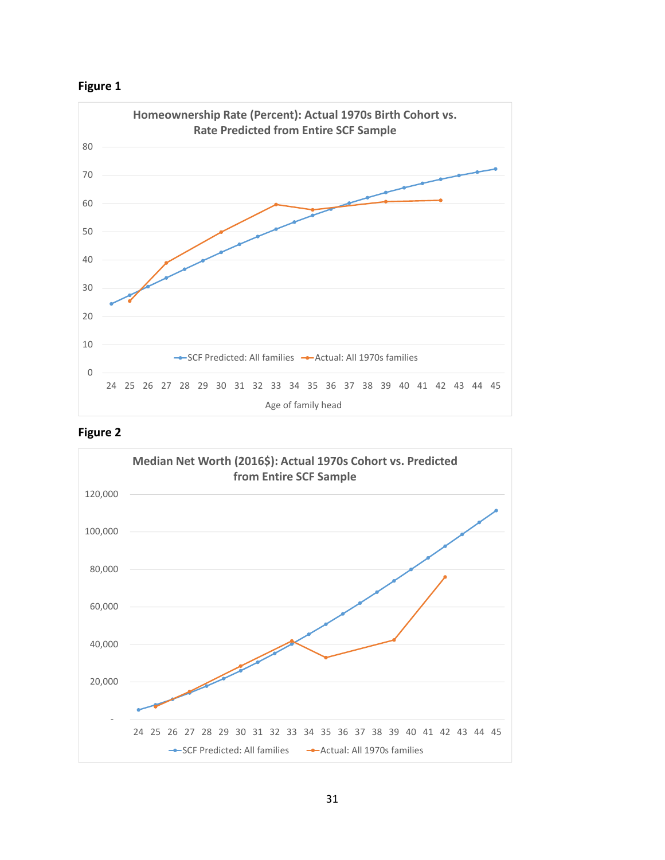





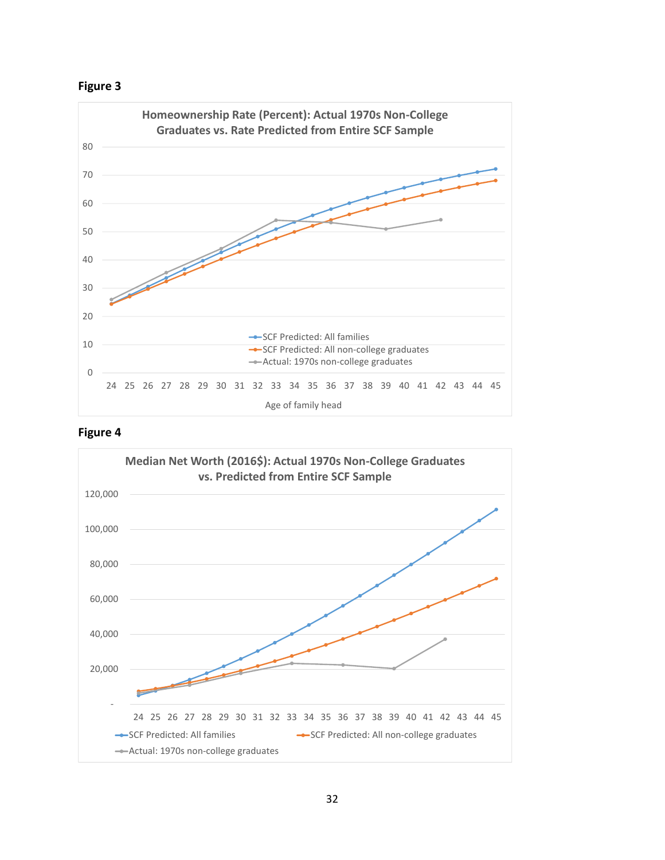





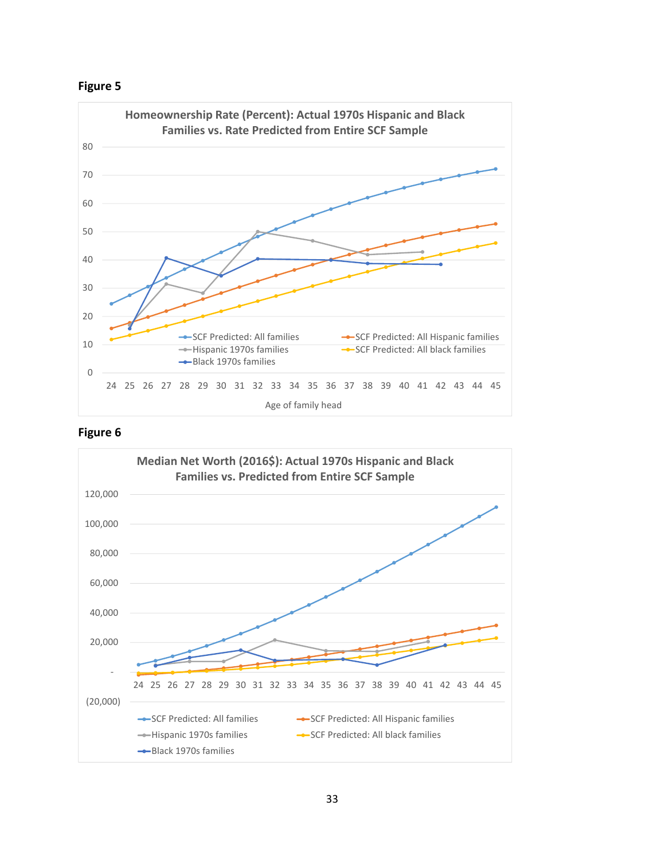



### **Figure 6**

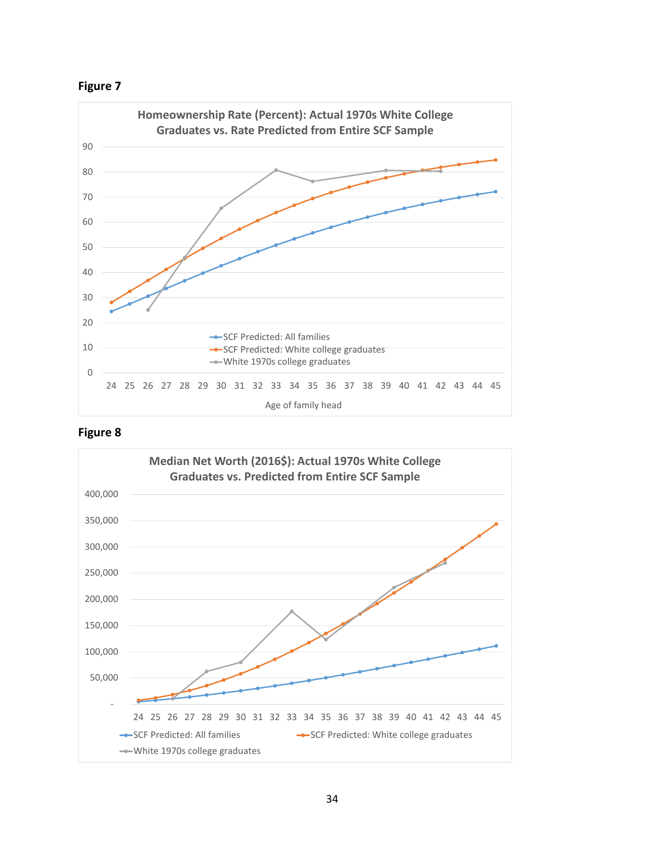



### **Figure 8**